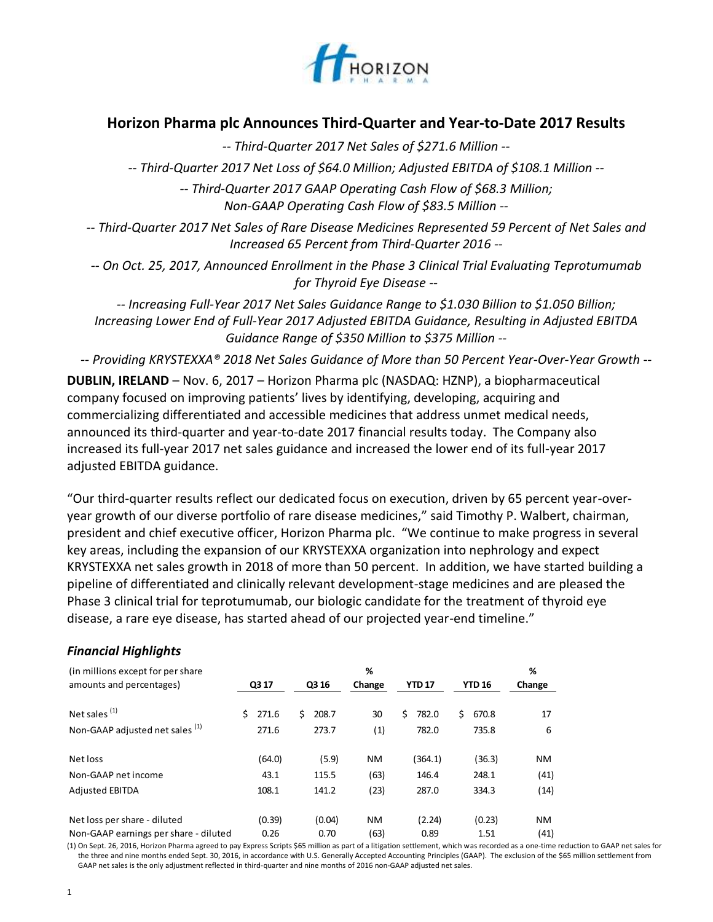

# **Horizon Pharma plc Announces Third-Quarter and Year-to-Date 2017 Results**

*-- Third-Quarter 2017 Net Sales of \$271.6 Million --*

*-- Third-Quarter 2017 Net Loss of \$64.0 Million; Adjusted EBITDA of \$108.1 Million --*

*-- Third-Quarter 2017 GAAP Operating Cash Flow of \$68.3 Million; Non-GAAP Operating Cash Flow of \$83.5 Million --*

*-- Third-Quarter 2017 Net Sales of Rare Disease Medicines Represented 59 Percent of Net Sales and Increased 65 Percent from Third-Quarter 2016 --*

*-- On Oct. 25, 2017, Announced Enrollment in the Phase 3 Clinical Trial Evaluating Teprotumumab for Thyroid Eye Disease --*

*-- Increasing Full-Year 2017 Net Sales Guidance Range to \$1.030 Billion to \$1.050 Billion; Increasing Lower End of Full-Year 2017 Adjusted EBITDA Guidance, Resulting in Adjusted EBITDA Guidance Range of \$350 Million to \$375 Million --*

*-- Providing KRYSTEXXA® 2018 Net Sales Guidance of More than 50 Percent Year-Over-Year Growth --*

**DUBLIN, IRELAND** – Nov. 6, 2017 – Horizon Pharma plc (NASDAQ: HZNP), a biopharmaceutical company focused on improving patients' lives by identifying, developing, acquiring and commercializing differentiated and accessible medicines that address unmet medical needs, announced its third-quarter and year-to-date 2017 financial results today. The Company also increased its full-year 2017 net sales guidance and increased the lower end of its full-year 2017 adjusted EBITDA guidance.

"Our third-quarter results reflect our dedicated focus on execution, driven by 65 percent year-overyear growth of our diverse portfolio of rare disease medicines," said Timothy P. Walbert, chairman, president and chief executive officer, Horizon Pharma plc. "We continue to make progress in several key areas, including the expansion of our KRYSTEXXA organization into nephrology and expect KRYSTEXXA net sales growth in 2018 of more than 50 percent. In addition, we have started building a pipeline of differentiated and clinically relevant development-stage medicines and are pleased the Phase 3 clinical trial for teprotumumab, our biologic candidate for the treatment of thyroid eye disease, a rare eye disease, has started ahead of our projected year-end timeline."

| (in millions except for per share)<br>amounts and percentages) | Q3 17       | Q3 16       | %<br>Change | <b>YTD 17</b> | <b>YTD 16</b> | %<br>Change |
|----------------------------------------------------------------|-------------|-------------|-------------|---------------|---------------|-------------|
| Net sales $(1)$                                                | 271.6<br>S. | Ś.<br>208.7 | 30          | Ś<br>782.0    | Ś.<br>670.8   | 17          |
| Non-GAAP adjusted net sales (1)                                | 271.6       | 273.7       | (1)         | 782.0         | 735.8         | 6           |
| Net loss                                                       | (64.0)      | (5.9)       | <b>NM</b>   | (364.1)       | (36.3)        | <b>NM</b>   |
| Non-GAAP net income                                            | 43.1        | 115.5       | (63)        | 146.4         | 248.1         | (41)        |
| <b>Adjusted EBITDA</b>                                         | 108.1       | 141.2       | (23)        | 287.0         | 334.3         | (14)        |
| Net loss per share - diluted                                   | (0.39)      | (0.04)      | <b>NM</b>   | (2.24)        | (0.23)        | <b>NM</b>   |
| Non-GAAP earnings per share - diluted                          | 0.26        | 0.70        | (63)        | 0.89          | 1.51          | (41)        |

## *Financial Highlights*

(1) On Sept. 26, 2016, Horizon Pharma agreed to pay Express Scripts \$65 million as part of a litigation settlement, which was recorded as a one-time reduction to GAAP net sales for the three and nine months ended Sept. 30, 2016, in accordance with U.S. Generally Accepted Accounting Principles (GAAP). The exclusion of the \$65 million settlement from GAAP net sales is the only adjustment reflected in third-quarter and nine months of 2016 non-GAAP adjusted net sales.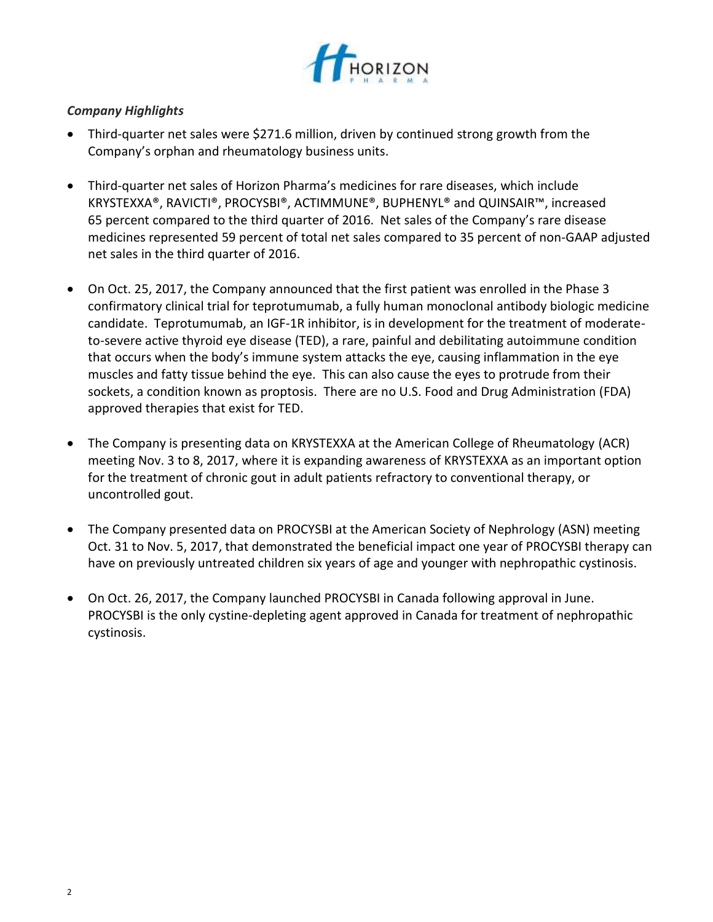

## *Company Highlights*

- Third-quarter net sales were \$271.6 million, driven by continued strong growth from the Company's orphan and rheumatology business units.
- Third-quarter net sales of Horizon Pharma's medicines for rare diseases, which include KRYSTEXXA®, RAVICTI®, PROCYSBI®, ACTIMMUNE®, BUPHENYL® and QUINSAIR™, increased 65 percent compared to the third quarter of 2016. Net sales of the Company's rare disease medicines represented 59 percent of total net sales compared to 35 percent of non-GAAP adjusted net sales in the third quarter of 2016.
- On Oct. 25, 2017, the Company announced that the first patient was enrolled in the Phase 3 confirmatory clinical trial for teprotumumab, a fully human monoclonal antibody biologic medicine candidate. Teprotumumab, an IGF-1R inhibitor, is in development for the treatment of moderateto-severe active thyroid eye disease (TED), a rare, painful and debilitating autoimmune condition that occurs when the body's immune system attacks the eye, causing inflammation in the eye muscles and fatty tissue behind the eye. This can also cause the eyes to protrude from their sockets, a condition known as proptosis. There are no U.S. Food and Drug Administration (FDA) approved therapies that exist for TED.
- The Company is presenting data on KRYSTEXXA at the American College of Rheumatology (ACR) meeting Nov. 3 to 8, 2017, where it is expanding awareness of KRYSTEXXA as an important option for the treatment of chronic gout in adult patients refractory to conventional therapy, or uncontrolled gout.
- The Company presented data on PROCYSBI at the American Society of Nephrology (ASN) meeting Oct. 31 to Nov. 5, 2017, that demonstrated the beneficial impact one year of PROCYSBI therapy can have on previously untreated children six years of age and younger with nephropathic cystinosis.
- On Oct. 26, 2017, the Company launched PROCYSBI in Canada following approval in June. PROCYSBI is the only cystine-depleting agent approved in Canada for treatment of nephropathic cystinosis.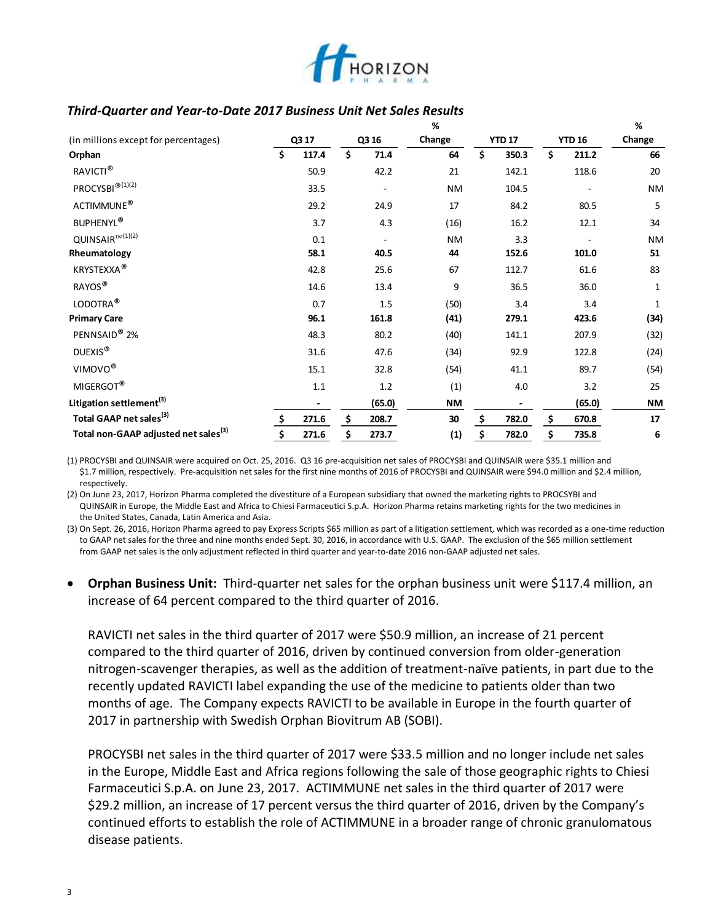

## *Third-Quarter and Year-to-Date 2017 Business Unit Net Sales Results*

|                                                                                                                                                                                                                                                                                                                                                                                                                                                                                                                                                                                                                                                                                                                                                                                                                                                        |    |                              |                          | %         |                          |                          | %         |
|--------------------------------------------------------------------------------------------------------------------------------------------------------------------------------------------------------------------------------------------------------------------------------------------------------------------------------------------------------------------------------------------------------------------------------------------------------------------------------------------------------------------------------------------------------------------------------------------------------------------------------------------------------------------------------------------------------------------------------------------------------------------------------------------------------------------------------------------------------|----|------------------------------|--------------------------|-----------|--------------------------|--------------------------|-----------|
| (in millions except for percentages)                                                                                                                                                                                                                                                                                                                                                                                                                                                                                                                                                                                                                                                                                                                                                                                                                   |    | Q3 17                        | Q3 16                    | Change    | <b>YTD 17</b>            | <b>YTD 16</b>            | Change    |
| Orphan                                                                                                                                                                                                                                                                                                                                                                                                                                                                                                                                                                                                                                                                                                                                                                                                                                                 | Ś  | 117.4                        | \$<br>71.4               | 64        | \$<br>350.3              | \$<br>211.2              | 66        |
| RAVICTI <sup>®</sup>                                                                                                                                                                                                                                                                                                                                                                                                                                                                                                                                                                                                                                                                                                                                                                                                                                   |    | 50.9                         | 42.2                     | 21        | 142.1                    | 118.6                    | 20        |
| PROCYSBI <sup>®(1)(2)</sup>                                                                                                                                                                                                                                                                                                                                                                                                                                                                                                                                                                                                                                                                                                                                                                                                                            |    | 33.5                         |                          | <b>NM</b> | 104.5                    |                          | ΝM        |
| ACTIMMUNE®                                                                                                                                                                                                                                                                                                                                                                                                                                                                                                                                                                                                                                                                                                                                                                                                                                             |    | 29.2                         | 24.9                     | 17        | 84.2                     | 80.5                     | 5         |
| <b>BUPHENYL®</b>                                                                                                                                                                                                                                                                                                                                                                                                                                                                                                                                                                                                                                                                                                                                                                                                                                       |    | 3.7                          | 4.3                      | (16)      | 16.2                     | 12.1                     | 34        |
| QUINSAIR™(1)(2)                                                                                                                                                                                                                                                                                                                                                                                                                                                                                                                                                                                                                                                                                                                                                                                                                                        |    | 0.1                          | $\overline{\phantom{a}}$ | <b>NM</b> | 3.3                      | $\overline{\phantom{a}}$ | ΝM        |
| Rheumatology                                                                                                                                                                                                                                                                                                                                                                                                                                                                                                                                                                                                                                                                                                                                                                                                                                           |    | 58.1                         | 40.5                     | 44        | 152.6                    | 101.0                    | 51        |
| <b>KRYSTEXXA®</b>                                                                                                                                                                                                                                                                                                                                                                                                                                                                                                                                                                                                                                                                                                                                                                                                                                      |    | 42.8                         | 25.6                     | 67        | 112.7                    | 61.6                     | 83        |
| RAYOS®                                                                                                                                                                                                                                                                                                                                                                                                                                                                                                                                                                                                                                                                                                                                                                                                                                                 |    | 14.6                         | 13.4                     | 9         | 36.5                     | 36.0                     | 1         |
| LODOTRA <sup>®</sup>                                                                                                                                                                                                                                                                                                                                                                                                                                                                                                                                                                                                                                                                                                                                                                                                                                   |    | 0.7                          | 1.5                      | (50)      | 3.4                      | 3.4                      | 1         |
| <b>Primary Care</b>                                                                                                                                                                                                                                                                                                                                                                                                                                                                                                                                                                                                                                                                                                                                                                                                                                    |    | 96.1                         | 161.8                    | (41)      | 279.1                    | 423.6                    | (34)      |
| PENNSAID® 2%                                                                                                                                                                                                                                                                                                                                                                                                                                                                                                                                                                                                                                                                                                                                                                                                                                           |    | 48.3                         | 80.2                     | (40)      | 141.1                    | 207.9                    | (32)      |
| DUEXIS <sup>®</sup>                                                                                                                                                                                                                                                                                                                                                                                                                                                                                                                                                                                                                                                                                                                                                                                                                                    |    | 31.6                         | 47.6                     | (34)      | 92.9                     | 122.8                    | (24)      |
| VIMOVO <sup>®</sup>                                                                                                                                                                                                                                                                                                                                                                                                                                                                                                                                                                                                                                                                                                                                                                                                                                    |    | 15.1                         | 32.8                     | (54)      | 41.1                     | 89.7                     | (54)      |
| MIGERGOT <sup>®</sup>                                                                                                                                                                                                                                                                                                                                                                                                                                                                                                                                                                                                                                                                                                                                                                                                                                  |    | $1.1\,$                      | 1.2                      | (1)       | 4.0                      | 3.2                      | 25        |
| Litigation settlement <sup>(3)</sup>                                                                                                                                                                                                                                                                                                                                                                                                                                                                                                                                                                                                                                                                                                                                                                                                                   |    | $\qquad \qquad \blacksquare$ | (65.0)                   | NM        | $\overline{\phantom{a}}$ | (65.0)                   | <b>NM</b> |
| Total GAAP net sales <sup>(3)</sup>                                                                                                                                                                                                                                                                                                                                                                                                                                                                                                                                                                                                                                                                                                                                                                                                                    |    | 271.6                        | \$<br>208.7              | 30        | \$<br>782.0              | \$<br>670.8              | 17        |
| Total non-GAAP adjusted net sales <sup>(3)</sup>                                                                                                                                                                                                                                                                                                                                                                                                                                                                                                                                                                                                                                                                                                                                                                                                       | \$ | 271.6                        | \$<br>273.7              | (1)       | \$<br>782.0              | \$<br>735.8              | 6         |
| (3) On Sept. 26, 2016, Horizon Pharma agreed to pay Express Scripts \$65 million as part of a litigation settlement, which was recorded as a one-time reduction<br>to GAAP net sales for the three and nine months ended Sept. 30, 2016, in accordance with U.S. GAAP. The exclusion of the \$65 million settlement<br>from GAAP net sales is the only adjustment reflected in third quarter and year-to-date 2016 non-GAAP adjusted net sales.<br>Orphan Business Unit: Third-quarter net sales for the orphan business unit were \$117.4 million, an<br>$\bullet$                                                                                                                                                                                                                                                                                    |    |                              |                          |           |                          |                          |           |
| increase of 64 percent compared to the third quarter of 2016.<br>RAVICTI net sales in the third quarter of 2017 were \$50.9 million, an increase of 21 percent<br>compared to the third quarter of 2016, driven by continued conversion from older-generation<br>nitrogen-scavenger therapies, as well as the addition of treatment-naïve patients, in part due to the<br>recently updated RAVICTI label expanding the use of the medicine to patients older than two<br>months of age. The Company expects RAVICTI to be available in Europe in the fourth quarter of<br>2017 in partnership with Swedish Orphan Biovitrum AB (SOBI).<br>PROCYSBI net sales in the third quarter of 2017 were \$33.5 million and no longer include net sales<br>in the Europe, Middle East and Africa regions following the sale of those geographic rights to Chiesi |    |                              |                          |           |                          |                          |           |
| Farmaceutici S.p.A. on June 23, 2017. ACTIMMUNE net sales in the third quarter of 2017 were<br>\$29.2 million, an increase of 17 percent versus the third quarter of 2016, driven by the Company's<br>continued efforts to establish the role of ACTIMMUNE in a broader range of chronic granulomatous<br>disease patients.                                                                                                                                                                                                                                                                                                                                                                                                                                                                                                                            |    |                              |                          |           |                          |                          |           |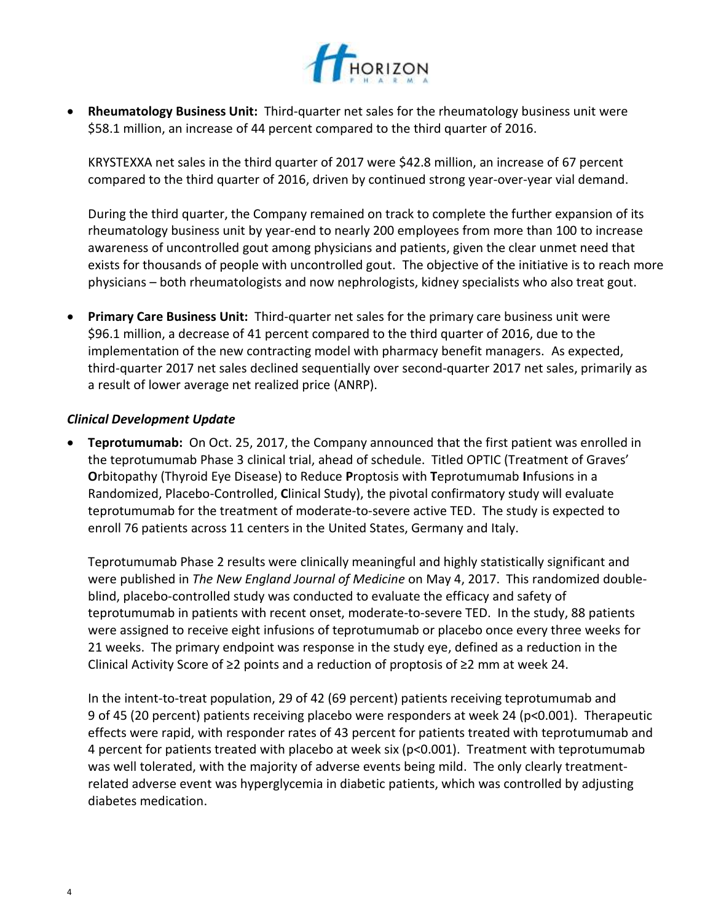

 **Rheumatology Business Unit:** Third-quarter net sales for the rheumatology business unit were \$58.1 million, an increase of 44 percent compared to the third quarter of 2016.

KRYSTEXXA net sales in the third quarter of 2017 were \$42.8 million, an increase of 67 percent compared to the third quarter of 2016, driven by continued strong year-over-year vial demand.

During the third quarter, the Company remained on track to complete the further expansion of its rheumatology business unit by year-end to nearly 200 employees from more than 100 to increase awareness of uncontrolled gout among physicians and patients, given the clear unmet need that exists for thousands of people with uncontrolled gout. The objective of the initiative is to reach more physicians – both rheumatologists and now nephrologists, kidney specialists who also treat gout.

 **Primary Care Business Unit:** Third-quarter net sales for the primary care business unit were \$96.1 million, a decrease of 41 percent compared to the third quarter of 2016, due to the implementation of the new contracting model with pharmacy benefit managers. As expected, third-quarter 2017 net sales declined sequentially over second-quarter 2017 net sales, primarily as a result of lower average net realized price (ANRP).

#### *Clinical Development Update*

 **Teprotumumab:** On Oct. 25, 2017, the Company announced that the first patient was enrolled in the teprotumumab Phase 3 clinical trial, ahead of schedule. Titled OPTIC (Treatment of Graves' **O**rbitopathy (Thyroid Eye Disease) to Reduce **P**roptosis with **T**eprotumumab **I**nfusions in a Randomized, Placebo-Controlled, **C**linical Study), the pivotal confirmatory study will evaluate teprotumumab for the treatment of moderate-to-severe active TED. The study is expected to enroll 76 patients across 11 centers in the United States, Germany and Italy.

Teprotumumab Phase 2 results were clinically meaningful and highly statistically significant and were published in *The New England Journal of Medicine* on May 4, 2017. This randomized doubleblind, placebo-controlled study was conducted to evaluate the efficacy and safety of teprotumumab in patients with recent onset, moderate-to-severe TED. In the study, 88 patients were assigned to receive eight infusions of teprotumumab or placebo once every three weeks for 21 weeks. The primary endpoint was response in the study eye, defined as a reduction in the Clinical Activity Score of ≥2 points and a reduction of proptosis of ≥2 mm at week 24.

In the intent-to-treat population, 29 of 42 (69 percent) patients receiving teprotumumab and 9 of 45 (20 percent) patients receiving placebo were responders at week 24 (p˂0.001). Therapeutic effects were rapid, with responder rates of 43 percent for patients treated with teprotumumab and 4 percent for patients treated with placebo at week six ( $p<0.001$ ). Treatment with teprotumumab was well tolerated, with the majority of adverse events being mild. The only clearly treatmentrelated adverse event was hyperglycemia in diabetic patients, which was controlled by adjusting diabetes medication.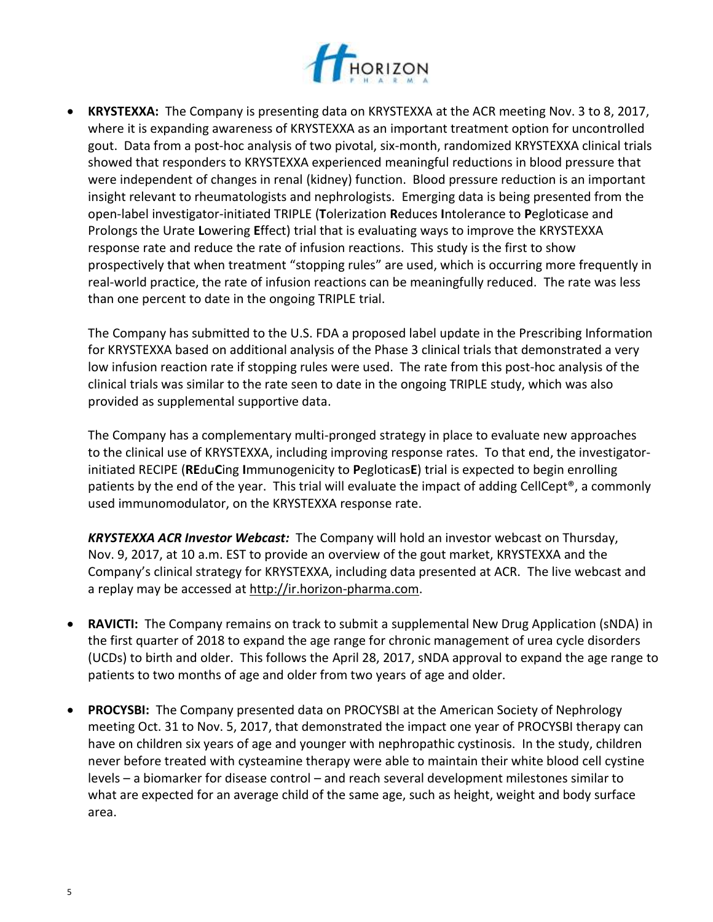

 **KRYSTEXXA:** The Company is presenting data on KRYSTEXXA at the ACR meeting Nov. 3 to 8, 2017, where it is expanding awareness of KRYSTEXXA as an important treatment option for uncontrolled gout. Data from a post-hoc analysis of two pivotal, six-month, randomized KRYSTEXXA clinical trials showed that responders to KRYSTEXXA experienced meaningful reductions in blood pressure that were independent of changes in renal (kidney) function. Blood pressure reduction is an important insight relevant to rheumatologists and nephrologists. Emerging data is being presented from the open-label investigator-initiated TRIPLE (**T**olerization **R**educes **I**ntolerance to **P**egloticase and Prolongs the Urate **L**owering **E**ffect) trial that is evaluating ways to improve the KRYSTEXXA response rate and reduce the rate of infusion reactions. This study is the first to show prospectively that when treatment "stopping rules" are used, which is occurring more frequently in real-world practice, the rate of infusion reactions can be meaningfully reduced. The rate was less than one percent to date in the ongoing TRIPLE trial.

The Company has submitted to the U.S. FDA a proposed label update in the Prescribing Information for KRYSTEXXA based on additional analysis of the Phase 3 clinical trials that demonstrated a very low infusion reaction rate if stopping rules were used. The rate from this post-hoc analysis of the clinical trials was similar to the rate seen to date in the ongoing TRIPLE study, which was also provided as supplemental supportive data.

The Company has a complementary multi-pronged strategy in place to evaluate new approaches to the clinical use of KRYSTEXXA, including improving response rates. To that end, the investigatorinitiated RECIPE (**RE**du**C**ing **I**mmunogenicity to **P**egloticas**E**) trial is expected to begin enrolling patients by the end of the year. This trial will evaluate the impact of adding CellCept®, a commonly used immunomodulator, on the KRYSTEXXA response rate.

*KRYSTEXXA ACR Investor Webcast:* The Company will hold an investor webcast on Thursday, Nov. 9, 2017, at 10 a.m. EST to provide an overview of the gout market, KRYSTEXXA and the Company's clinical strategy for KRYSTEXXA, including data presented at ACR. The live webcast and a replay may be accessed at [http://ir.horizon-pharma.com.](http://ctt.marketwire.com/?release=853254&id=1278502&type=1&url=http%3a%2f%2fir.horizon-pharma.com%2f)

- **RAVICTI:** The Company remains on track to submit a supplemental New Drug Application (sNDA) in the first quarter of 2018 to expand the age range for chronic management of urea cycle disorders (UCDs) to birth and older. This follows the April 28, 2017, sNDA approval to expand the age range to patients to two months of age and older from two years of age and older.
- **PROCYSBI:** The Company presented data on PROCYSBI at the American Society of Nephrology meeting Oct. 31 to Nov. 5, 2017, that demonstrated the impact one year of PROCYSBI therapy can have on children six years of age and younger with nephropathic cystinosis. In the study, children never before treated with cysteamine therapy were able to maintain their white blood cell cystine levels – a biomarker for disease control – and reach several development milestones similar to what are expected for an average child of the same age, such as height, weight and body surface area.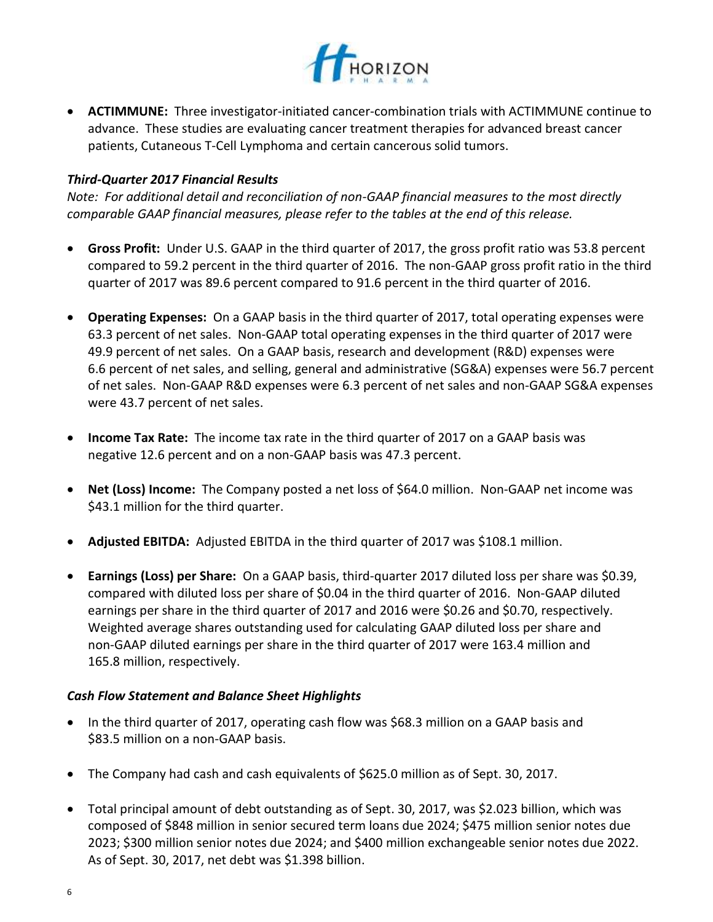

 **ACTIMMUNE:** Three investigator-initiated cancer-combination trials with ACTIMMUNE continue to advance. These studies are evaluating cancer treatment therapies for advanced breast cancer patients, Cutaneous T-Cell Lymphoma and certain cancerous solid tumors.

## *Third-Quarter 2017 Financial Results*

*Note: For additional detail and reconciliation of non-GAAP financial measures to the most directly comparable GAAP financial measures, please refer to the tables at the end of this release.*

- **Gross Profit:** Under U.S. GAAP in the third quarter of 2017, the gross profit ratio was 53.8 percent compared to 59.2 percent in the third quarter of 2016. The non-GAAP gross profit ratio in the third quarter of 2017 was 89.6 percent compared to 91.6 percent in the third quarter of 2016.
- **Operating Expenses:** On a GAAP basis in the third quarter of 2017, total operating expenses were 63.3 percent of net sales. Non-GAAP total operating expenses in the third quarter of 2017 were 49.9 percent of net sales. On a GAAP basis, research and development (R&D) expenses were 6.6 percent of net sales, and selling, general and administrative (SG&A) expenses were 56.7 percent of net sales. Non-GAAP R&D expenses were 6.3 percent of net sales and non-GAAP SG&A expenses were 43.7 percent of net sales.
- **Income Tax Rate:** The income tax rate in the third quarter of 2017 on a GAAP basis was negative 12.6 percent and on a non-GAAP basis was 47.3 percent.
- **Net (Loss) Income:** The Company posted a net loss of \$64.0 million. Non-GAAP net income was \$43.1 million for the third quarter.
- **Adjusted EBITDA:** Adjusted EBITDA in the third quarter of 2017 was \$108.1 million.
- **Earnings (Loss) per Share:** On a GAAP basis, third-quarter 2017 diluted loss per share was \$0.39, compared with diluted loss per share of \$0.04 in the third quarter of 2016. Non-GAAP diluted earnings per share in the third quarter of 2017 and 2016 were \$0.26 and \$0.70, respectively. Weighted average shares outstanding used for calculating GAAP diluted loss per share and non-GAAP diluted earnings per share in the third quarter of 2017 were 163.4 million and 165.8 million, respectively.

## *Cash Flow Statement and Balance Sheet Highlights*

- In the third quarter of 2017, operating cash flow was \$68.3 million on a GAAP basis and \$83.5 million on a non-GAAP basis.
- The Company had cash and cash equivalents of \$625.0 million as of Sept. 30, 2017.
- Total principal amount of debt outstanding as of Sept. 30, 2017, was \$2.023 billion, which was composed of \$848 million in senior secured term loans due 2024; \$475 million senior notes due 2023; \$300 million senior notes due 2024; and \$400 million exchangeable senior notes due 2022. As of Sept. 30, 2017, net debt was \$1.398 billion.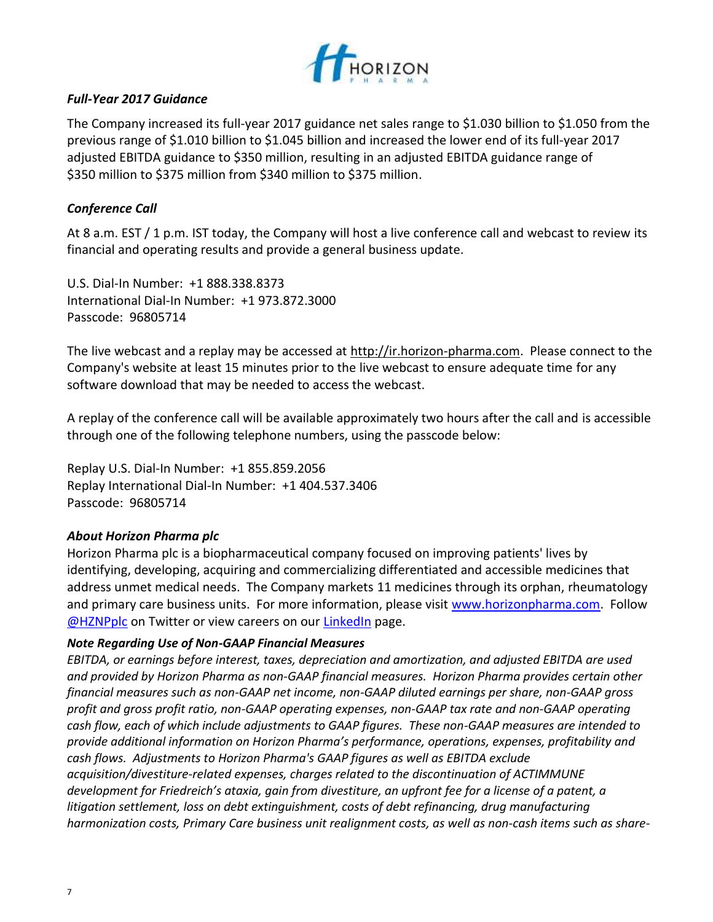

## *Full-Year 2017 Guidance*

The Company increased its full-year 2017 guidance net sales range to \$1.030 billion to \$1.050 from the previous range of \$1.010 billion to \$1.045 billion and increased the lower end of its full-year 2017 adjusted EBITDA guidance to \$350 million, resulting in an adjusted EBITDA guidance range of \$350 million to \$375 million from \$340 million to \$375 million.

# *Conference Call*

At 8 a.m. EST / 1 p.m. IST today, the Company will host a live conference call and webcast to review its financial and operating results and provide a general business update.

U.S. Dial-In Number: +1 888.338.8373 International Dial-In Number: +1 973.872.3000 Passcode: 96805714

The live webcast and a replay may be accessed at [http://ir.horizon-pharma.com.](http://ctt.marketwire.com/?release=853254&id=1278502&type=1&url=http%3a%2f%2fir.horizon-pharma.com%2f) Please connect to the Company's website at least 15 minutes prior to the live webcast to ensure adequate time for any software download that may be needed to access the webcast.

A replay of the conference call will be available approximately two hours after the call and is accessible through one of the following telephone numbers, using the passcode below:

Replay U.S. Dial-In Number: +1 855.859.2056 Replay International Dial-In Number: +1 404.537.3406 Passcode: 96805714

## *About Horizon Pharma plc*

Horizon Pharma plc is a biopharmaceutical company focused on improving patients' lives by identifying, developing, acquiring and commercializing differentiated and accessible medicines that address unmet medical needs. The Company markets 11 medicines through its orphan, rheumatology and primary care business units. For more information, please visit [www.horizonpharma.com.](http://ctt.marketwire.com/?release=1222852&id=7357417&type=1&url=http%3a%2f%2fwww.horizonpharma.com%2f) Follow [@HZNPplc](http://ctt.marketwire.com/?release=1222852&id=7357420&type=1&url=https%3a%2f%2ftwitter.com%2fhznpplc) on Twitter or view careers on ou[r LinkedIn](http://ctt.marketwire.com/?release=1222852&id=7357423&type=1&url=https%3a%2f%2fwww.linkedin.com%2fcompany%2fhorizon-pharma) page.

## *Note Regarding Use of Non-GAAP Financial Measures*

*EBITDA, or earnings before interest, taxes, depreciation and amortization, and adjusted EBITDA are used and provided by Horizon Pharma as non-GAAP financial measures. Horizon Pharma provides certain other financial measures such as non-GAAP net income, non-GAAP diluted earnings per share, non-GAAP gross profit and gross profit ratio, non-GAAP operating expenses, non-GAAP tax rate and non-GAAP operating cash flow, each of which include adjustments to GAAP figures. These non-GAAP measures are intended to provide additional information on Horizon Pharma's performance, operations, expenses, profitability and cash flows. Adjustments to Horizon Pharma's GAAP figures as well as EBITDA exclude acquisition/divestiture-related expenses, charges related to the discontinuation of ACTIMMUNE development for Friedreich's ataxia, gain from divestiture, an upfront fee for a license of a patent, a litigation settlement, loss on debt extinguishment, costs of debt refinancing, drug manufacturing harmonization costs, Primary Care business unit realignment costs, as well as non-cash items such as share-*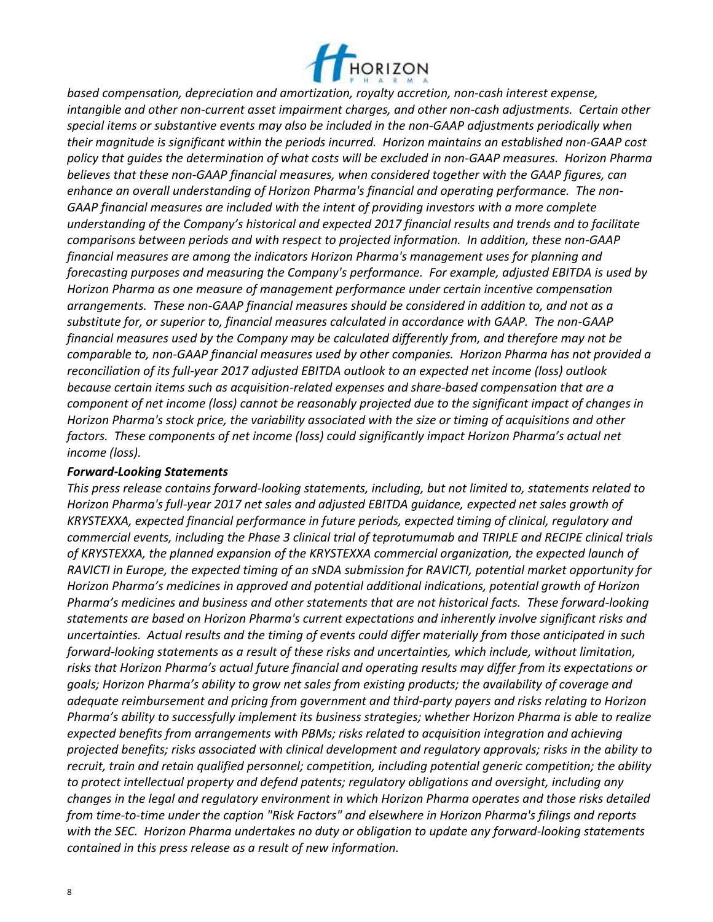

*based compensation, depreciation and amortization, royalty accretion, non-cash interest expense, intangible and other non-current asset impairment charges, and other non-cash adjustments. Certain other special items or substantive events may also be included in the non-GAAP adjustments periodically when their magnitude is significant within the periods incurred. Horizon maintains an established non-GAAP cost policy that guides the determination of what costs will be excluded in non-GAAP measures. Horizon Pharma believes that these non-GAAP financial measures, when considered together with the GAAP figures, can enhance an overall understanding of Horizon Pharma's financial and operating performance. The non-GAAP financial measures are included with the intent of providing investors with a more complete understanding of the Company's historical and expected 2017 financial results and trends and to facilitate comparisons between periods and with respect to projected information. In addition, these non-GAAP financial measures are among the indicators Horizon Pharma's management uses for planning and forecasting purposes and measuring the Company's performance. For example, adjusted EBITDA is used by Horizon Pharma as one measure of management performance under certain incentive compensation arrangements. These non-GAAP financial measures should be considered in addition to, and not as a substitute for, or superior to, financial measures calculated in accordance with GAAP. The non-GAAP financial measures used by the Company may be calculated differently from, and therefore may not be comparable to, non-GAAP financial measures used by other companies. Horizon Pharma has not provided a reconciliation of its full-year 2017 adjusted EBITDA outlook to an expected net income (loss) outlook because certain items such as acquisition-related expenses and share-based compensation that are a component of net income (loss) cannot be reasonably projected due to the significant impact of changes in Horizon Pharma's stock price, the variability associated with the size or timing of acquisitions and other factors. These components of net income (loss) could significantly impact Horizon Pharma's actual net income (loss).* 

#### *Forward-Looking Statements*

*This press release contains forward-looking statements, including, but not limited to, statements related to Horizon Pharma's full-year 2017 net sales and adjusted EBITDA guidance, expected net sales growth of KRYSTEXXA, expected financial performance in future periods, expected timing of clinical, regulatory and commercial events, including the Phase 3 clinical trial of teprotumumab and TRIPLE and RECIPE clinical trials of KRYSTEXXA, the planned expansion of the KRYSTEXXA commercial organization, the expected launch of RAVICTI in Europe, the expected timing of an sNDA submission for RAVICTI, potential market opportunity for Horizon Pharma's medicines in approved and potential additional indications, potential growth of Horizon Pharma's medicines and business and other statements that are not historical facts. These forward-looking statements are based on Horizon Pharma's current expectations and inherently involve significant risks and uncertainties. Actual results and the timing of events could differ materially from those anticipated in such forward-looking statements as a result of these risks and uncertainties, which include, without limitation, risks that Horizon Pharma's actual future financial and operating results may differ from its expectations or goals; Horizon Pharma's ability to grow net sales from existing products; the availability of coverage and adequate reimbursement and pricing from government and third-party payers and risks relating to Horizon Pharma's ability to successfully implement its business strategies; whether Horizon Pharma is able to realize expected benefits from arrangements with PBMs; risks related to acquisition integration and achieving projected benefits; risks associated with clinical development and regulatory approvals; risks in the ability to recruit, train and retain qualified personnel; competition, including potential generic competition; the ability to protect intellectual property and defend patents; regulatory obligations and oversight, including any changes in the legal and regulatory environment in which Horizon Pharma operates and those risks detailed from time-to-time under the caption "Risk Factors" and elsewhere in Horizon Pharma's filings and reports with the SEC. Horizon Pharma undertakes no duty or obligation to update any forward-looking statements contained in this press release as a result of new information.*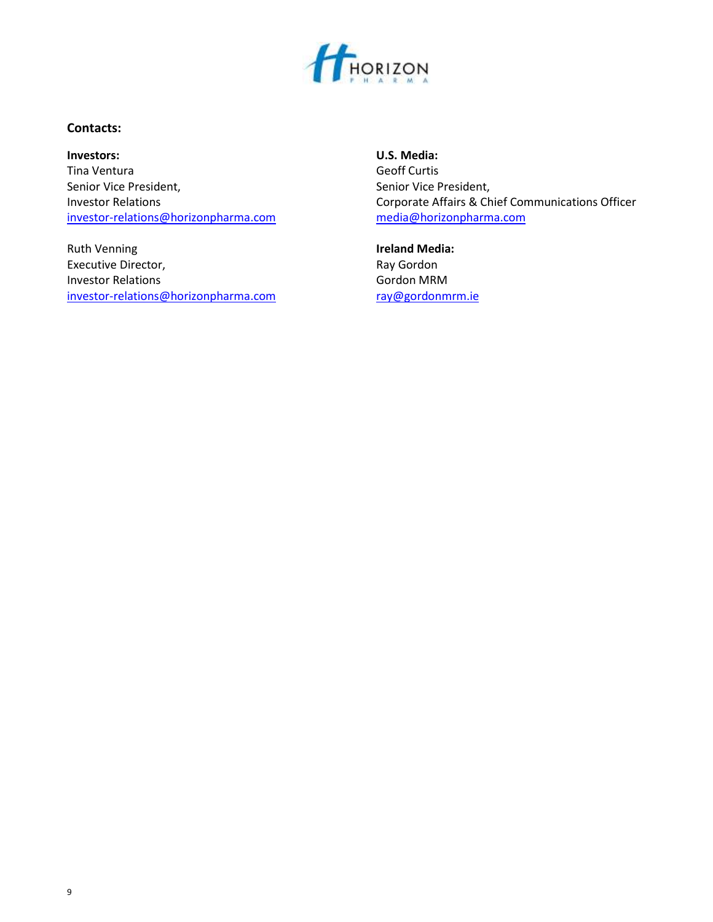

## **Contacts:**

Tina Ventura Geoff Curtis Senior Vice President, Senior Vice President, [investor-relations@horizonpharma.com](mailto:investor-relations@horizonpharma.com) media@horizonpharma.com

Ruth Venning **Integral Control Control Control Control Control Control Control Control Control Control Control Control Control Control Control Control Control Control Control Control Control Control Control Control Control** Executive Director, The Contractor of the Ray Gordon Ray Gordon Investor Relations **Gordon MRM** [investor-relations@horizonpharma.com](mailto:investor-relations@horizonpharma.com) [ray@gordonmrm.ie](mailto:ray@gordonmrm.ie)

**Investors: U.S. Media:** Investor Relations **Investor Relations** Corporate Affairs & Chief Communications Officer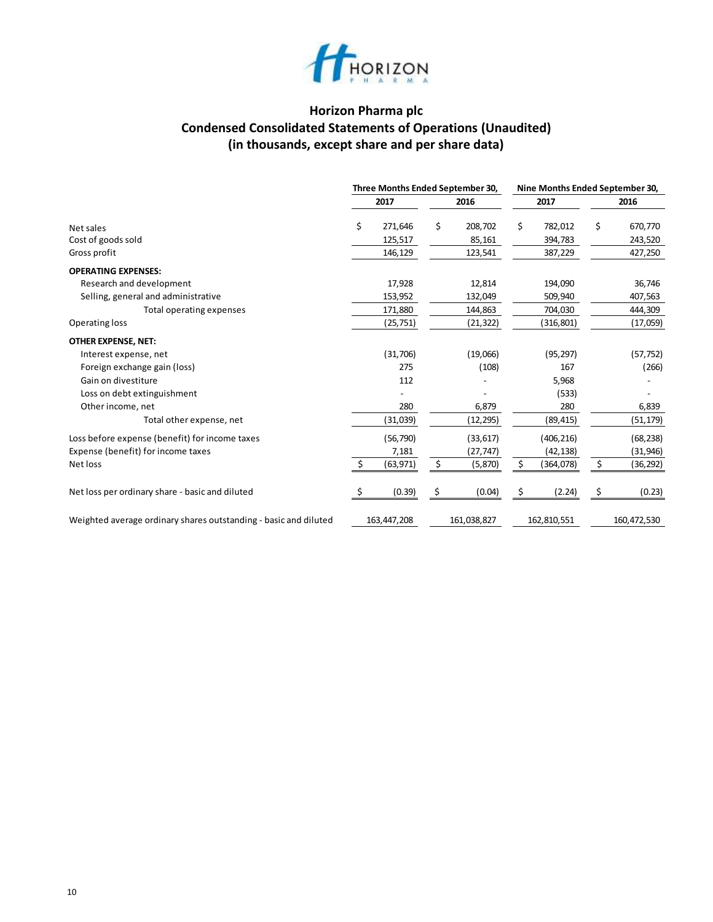

# **Horizon Pharma plc Condensed Consolidated Statements of Operations (Unaudited) (in thousands, except share and per share data)**

|                                                                  |    | Three Months Ended September 30, |               | Nine Months Ended September 30, |                 |
|------------------------------------------------------------------|----|----------------------------------|---------------|---------------------------------|-----------------|
|                                                                  |    | 2017                             | 2016          | 2017                            | 2016            |
| Net sales                                                        | \$ | 271,646                          | \$<br>208,702 | \$<br>782,012                   | \$<br>670,770   |
| Cost of goods sold                                               |    | 125,517                          | 85,161        | 394,783                         | 243,520         |
| Gross profit                                                     |    | 146,129                          | 123,541       | 387,229                         | 427,250         |
| <b>OPERATING EXPENSES:</b>                                       |    |                                  |               |                                 |                 |
| Research and development                                         |    | 17,928                           | 12,814        | 194,090                         | 36,746          |
| Selling, general and administrative                              |    | 153,952                          | 132,049       | 509,940                         | 407,563         |
| Total operating expenses                                         |    | 171,880                          | 144,863       | 704,030                         | 444,309         |
| Operating loss                                                   |    | (25, 751)                        | (21,322)      | (316,801)                       | (17,059)        |
| <b>OTHER EXPENSE, NET:</b>                                       |    |                                  |               |                                 |                 |
| Interest expense, net                                            |    | (31,706)                         | (19,066)      | (95, 297)                       | (57, 752)       |
| Foreign exchange gain (loss)                                     |    | 275                              | (108)         | 167                             | (266)           |
| Gain on divestiture                                              |    | 112                              |               | 5,968                           |                 |
| Loss on debt extinguishment                                      |    |                                  |               | (533)                           |                 |
| Other income, net                                                |    | 280                              | 6,879         | 280                             | 6,839           |
| Total other expense, net                                         |    | (31,039)                         | (12, 295)     | (89, 415)                       | (51,179)        |
| Loss before expense (benefit) for income taxes                   |    | (56, 790)                        | (33, 617)     | (406, 216)                      | (68, 238)       |
| Expense (benefit) for income taxes                               |    | 7,181                            | (27, 747)     | (42, 138)                       | (31, 946)       |
| Net loss                                                         | \$ | (63, 971)                        | \$<br>(5,870) | \$<br>(364,078)                 | \$<br>(36, 292) |
| Net loss per ordinary share - basic and diluted                  | S  | (0.39)                           | \$<br>(0.04)  | \$<br>(2.24)                    | \$<br>(0.23)    |
| Weighted average ordinary shares outstanding - basic and diluted |    | 163,447,208                      | 161,038,827   | 162,810,551                     | 160,472,530     |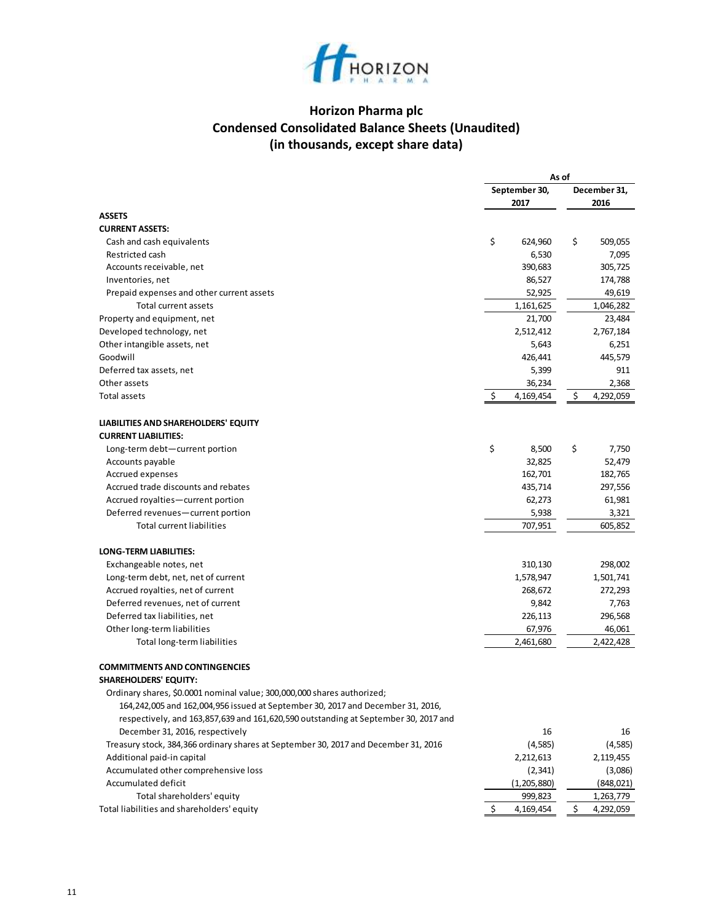

# **Horizon Pharma plc Condensed Consolidated Balance Sheets (Unaudited) (in thousands, except share data)**

|                                                                                     |    | As of                 |                              |
|-------------------------------------------------------------------------------------|----|-----------------------|------------------------------|
|                                                                                     |    | September 30,<br>2017 | December 31,<br>2016         |
| <b>ASSETS</b>                                                                       |    |                       |                              |
| <b>CURRENT ASSETS:</b>                                                              |    |                       |                              |
| Cash and cash equivalents                                                           | \$ | 624,960               | \$<br>509,055                |
| Restricted cash                                                                     |    | 6,530                 | 7,095                        |
| Accounts receivable, net                                                            |    | 390,683               | 305,725                      |
| Inventories, net                                                                    |    | 86,527                | 174,788                      |
| Prepaid expenses and other current assets                                           |    | 52,925                | 49,619                       |
| Total current assets                                                                |    | 1,161,625             | 1,046,282                    |
| Property and equipment, net                                                         |    | 21,700                | 23,484                       |
| Developed technology, net                                                           |    | 2,512,412             | 2,767,184                    |
| Other intangible assets, net                                                        |    | 5,643                 | 6,251                        |
| Goodwill                                                                            |    | 426,441               | 445,579                      |
| Deferred tax assets, net                                                            |    | 5,399                 | 911                          |
| Other assets                                                                        |    | 36,234                | 2,368                        |
| Total assets                                                                        | \$ | 4,169,454             | \$<br>4,292,059              |
| LIABILITIES AND SHAREHOLDERS' EQUITY                                                |    |                       |                              |
| <b>CURRENT LIABILITIES:</b>                                                         |    |                       |                              |
| Long-term debt-current portion                                                      | \$ | 8,500                 | \$<br>7,750                  |
| Accounts payable                                                                    |    | 32,825                | 52,479                       |
| <b>Accrued expenses</b>                                                             |    | 162,701               | 182,765                      |
| Accrued trade discounts and rebates                                                 |    | 435,714               | 297,556                      |
| Accrued royalties-current portion                                                   |    | 62,273                | 61,981                       |
| Deferred revenues-current portion                                                   |    | 5,938                 | 3,321                        |
| <b>Total current liabilities</b>                                                    |    | 707,951               | 605,852                      |
| <b>LONG-TERM LIABILITIES:</b>                                                       |    |                       |                              |
| Exchangeable notes, net                                                             |    | 310,130               | 298,002                      |
| Long-term debt, net, net of current                                                 |    | 1,578,947             | 1,501,741                    |
| Accrued royalties, net of current                                                   |    | 268,672               | 272,293                      |
| Deferred revenues, net of current                                                   |    | 9,842                 | 7,763                        |
| Deferred tax liabilities, net                                                       |    | 226,113               | 296,568                      |
| Other long-term liabilities                                                         |    | 67,976                | 46,061                       |
| Total long-term liabilities                                                         |    | 2,461,680             | 2,422,428                    |
| <b>COMMITMENTS AND CONTINGENCIES</b>                                                |    |                       |                              |
| <b>SHAREHOLDERS' EQUITY:</b>                                                        |    |                       |                              |
| Ordinary shares, \$0.0001 nominal value; 300,000,000 shares authorized;             |    |                       |                              |
| 164, 242, 005 and 162, 004, 956 issued at September 30, 2017 and December 31, 2016, |    |                       |                              |
| respectively, and 163,857,639 and 161,620,590 outstanding at September 30, 2017 and |    |                       |                              |
| December 31, 2016, respectively                                                     |    | 16                    | 16                           |
| Treasury stock, 384,366 ordinary shares at September 30, 2017 and December 31, 2016 |    | (4, 585)              | (4, 585)                     |
| Additional paid-in capital                                                          |    | 2,212,613             | 2,119,455                    |
| Accumulated other comprehensive loss<br>Accumulated deficit                         |    | (2, 341)              | (3,086)                      |
|                                                                                     |    | (1,205,880)           | (848, 021)                   |
| Total shareholders' equity<br>Total liabilities and shareholders' equity            | Ś  | 999,823<br>4,169,454  | \$<br>1,263,779<br>4,292,059 |
|                                                                                     |    |                       |                              |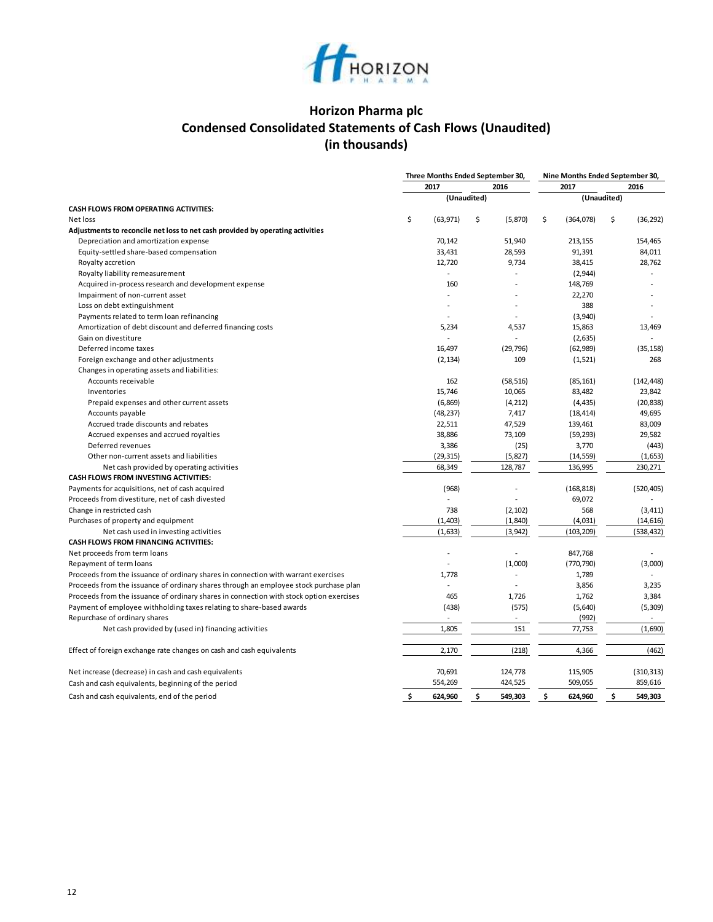

# **Horizon Pharma plc Condensed Consolidated Statements of Cash Flows (Unaudited) (in thousands)**

|                                                                                         | Three Months Ended September 30, |               | Nine Months Ended September 30, |             |                |
|-----------------------------------------------------------------------------------------|----------------------------------|---------------|---------------------------------|-------------|----------------|
|                                                                                         | 2017                             | 2016          | 2017                            |             | 2016           |
|                                                                                         | (Unaudited)                      |               |                                 | (Unaudited) |                |
| <b>CASH FLOWS FROM OPERATING ACTIVITIES:</b>                                            |                                  |               |                                 |             |                |
| Net loss                                                                                | \$<br>(63, 971)                  | \$<br>(5,870) | \$<br>(364,078)                 | \$          | (36, 292)      |
| Adjustments to reconcile net loss to net cash provided by operating activities          |                                  |               |                                 |             |                |
| Depreciation and amortization expense                                                   | 70,142                           | 51,940        | 213,155                         |             | 154,465        |
| Equity-settled share-based compensation                                                 | 33,431                           | 28,593        | 91,391                          |             | 84,011         |
| Royalty accretion                                                                       | 12,720                           | 9,734         | 38,415                          |             | 28,762         |
| Royalty liability remeasurement                                                         |                                  |               | (2,944)                         |             |                |
| Acquired in-process research and development expense                                    | 160                              |               | 148,769                         |             |                |
| Impairment of non-current asset                                                         |                                  |               | 22,270                          |             |                |
| Loss on debt extinguishment                                                             |                                  |               | 388                             |             |                |
| Payments related to term loan refinancing                                               |                                  |               | (3,940)                         |             |                |
| Amortization of debt discount and deferred financing costs                              | 5,234                            | 4,537         | 15,863                          |             | 13,469         |
| Gain on divestiture                                                                     |                                  |               | (2,635)                         |             |                |
| Deferred income taxes                                                                   | 16,497                           | (29, 796)     | (62, 989)                       |             | (35, 158)      |
| Foreign exchange and other adjustments                                                  | (2, 134)                         | 109           | (1, 521)                        |             | 268            |
| Changes in operating assets and liabilities:                                            |                                  |               |                                 |             |                |
| Accounts receivable                                                                     | 162                              | (58, 516)     | (85, 161)                       |             | (142, 448)     |
| Inventories                                                                             | 15,746                           | 10,065        | 83,482                          |             | 23,842         |
| Prepaid expenses and other current assets                                               | (6,869)                          | (4, 212)      | (4, 435)                        |             | (20, 838)      |
| Accounts payable                                                                        | (48, 237)                        | 7,417         | (18, 414)                       |             | 49,695         |
| Accrued trade discounts and rebates                                                     | 22,511                           | 47,529        | 139,461                         |             | 83,009         |
| Accrued expenses and accrued royalties                                                  | 38,886                           | 73,109        | (59, 293)                       |             | 29,582         |
| Deferred revenues                                                                       | 3,386                            | (25)          | 3,770                           |             | (443)          |
| Other non-current assets and liabilities                                                | (29, 315)                        | (5,827)       | (14, 559)                       |             | (1,653)        |
| Net cash provided by operating activities                                               | 68,349                           | 128,787       | 136,995                         |             | 230,271        |
| CASH FLOWS FROM INVESTING ACTIVITIES:                                                   |                                  |               |                                 |             |                |
| Payments for acquisitions, net of cash acquired                                         | (968)                            | Ĩ.            | (168, 818)                      |             | (520, 405)     |
| Proceeds from divestiture, net of cash divested                                         |                                  |               | 69,072                          |             |                |
| Change in restricted cash                                                               | 738                              | (2, 102)      | 568                             |             | (3, 411)       |
| Purchases of property and equipment                                                     | (1,403)                          | (1, 840)      | (4,031)                         |             | (14, 616)      |
| Net cash used in investing activities                                                   | (1,633)                          | (3, 942)      | (103, 209)                      |             | (538, 432)     |
| <b>CASH FLOWS FROM FINANCING ACTIVITIES:</b>                                            |                                  |               |                                 |             |                |
| Net proceeds from term loans                                                            |                                  |               | 847,768                         |             |                |
| Repayment of term loans                                                                 |                                  | (1,000)       | (770, 790)                      |             | (3,000)        |
| Proceeds from the issuance of ordinary shares in connection with warrant exercises      | 1,778                            |               | 1,789                           |             |                |
| Proceeds from the issuance of ordinary shares through an employee stock purchase plan   |                                  |               | 3,856                           |             | 3,235          |
| Proceeds from the issuance of ordinary shares in connection with stock option exercises | 465                              | 1,726         | 1,762                           |             | 3,384          |
| Payment of employee withholding taxes relating to share-based awards                    | (438)                            | (575)         | (5,640)                         |             | (5, 309)       |
| Repurchase of ordinary shares                                                           |                                  |               | (992)                           |             | $\overline{a}$ |
| Net cash provided by (used in) financing activities                                     | 1,805                            | 151           | 77,753                          |             | (1,690)        |
|                                                                                         |                                  |               |                                 |             |                |
| Effect of foreign exchange rate changes on cash and cash equivalents                    | 2,170                            | (218)         | 4,366                           |             | (462)          |
| Net increase (decrease) in cash and cash equivalents                                    | 70,691                           | 124,778       | 115,905                         |             | (310, 313)     |
| Cash and cash equivalents, beginning of the period                                      | 554,269                          | 424,525       | 509,055                         |             | 859,616        |
| Cash and cash equivalents, end of the period                                            | \$<br>624,960                    | \$<br>549,303 | \$<br>624,960                   | \$          | 549,303        |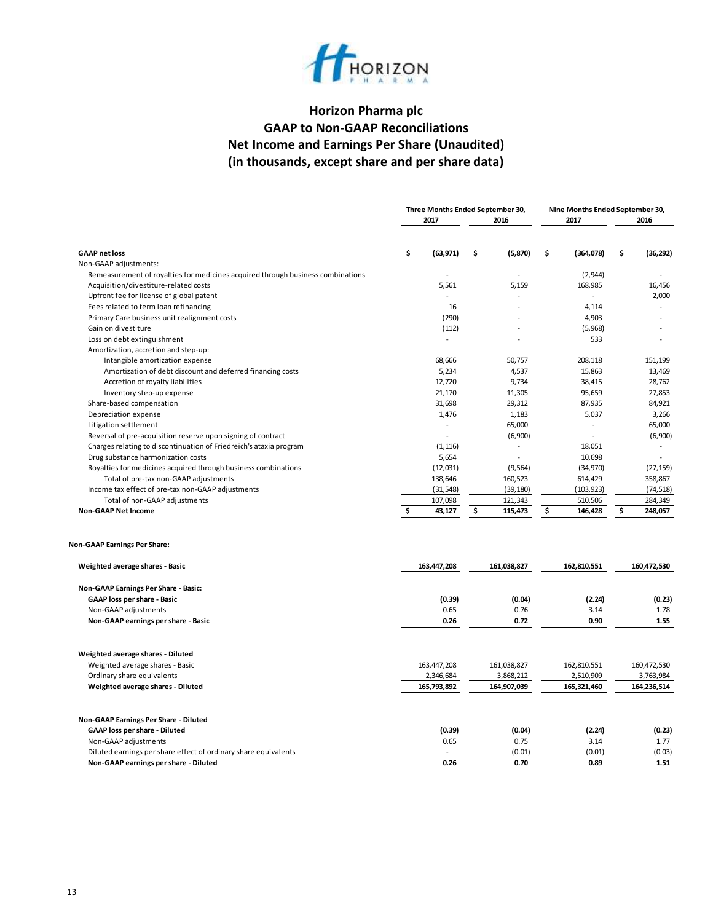

# **Horizon Pharma plc GAAP to Non-GAAP Reconciliations Net Income and Earnings Per Share (Unaudited) (in thousands, except share and per share data)**

|                                                                                 | Three Months Ended September 30, |                | Nine Months Ended September 30, |                 |
|---------------------------------------------------------------------------------|----------------------------------|----------------|---------------------------------|-----------------|
|                                                                                 | 2017                             | 2016           | 2017                            | 2016            |
|                                                                                 |                                  |                |                                 |                 |
| <b>GAAP net loss</b>                                                            | \$<br>(63, 971)                  | \$<br>(5,870)  | \$<br>(364,078)                 | \$<br>(36, 292) |
| Non-GAAP adjustments:                                                           |                                  |                |                                 |                 |
| Remeasurement of royalties for medicines acquired through business combinations |                                  |                | (2,944)                         |                 |
| Acquisition/divestiture-related costs                                           | 5,561                            | 5,159          | 168,985                         | 16,456          |
| Upfront fee for license of global patent                                        |                                  |                | $\sim$                          | 2,000           |
| Fees related to term loan refinancing                                           | 16                               |                | 4,114                           |                 |
| Primary Care business unit realignment costs                                    | (290)                            |                | 4,903                           |                 |
| Gain on divestiture                                                             | (112)                            |                | (5,968)                         |                 |
| Loss on debt extinguishment                                                     |                                  |                | 533                             |                 |
| Amortization, accretion and step-up:                                            |                                  |                |                                 |                 |
| Intangible amortization expense                                                 | 68,666                           | 50,757         | 208,118                         | 151,199         |
| Amortization of debt discount and deferred financing costs                      | 5,234                            | 4,537          | 15,863                          | 13,469          |
| Accretion of royalty liabilities                                                | 12,720                           | 9,734          | 38,415                          | 28,762          |
| Inventory step-up expense                                                       | 21,170                           | 11,305         | 95,659                          | 27,853          |
| Share-based compensation                                                        | 31,698                           | 29,312         | 87,935                          | 84,921          |
| Depreciation expense                                                            | 1,476                            | 1,183          | 5,037                           | 3,266           |
| Litigation settlement                                                           |                                  | 65,000         |                                 | 65,000          |
| Reversal of pre-acquisition reserve upon signing of contract                    | $\overline{a}$                   | (6,900)        |                                 | (6,900)         |
| Charges relating to discontinuation of Friedreich's ataxia program              | (1, 116)                         | $\overline{a}$ | 18,051                          | $\sim$          |
| Drug substance harmonization costs                                              | 5,654                            |                | 10,698                          |                 |
| Royalties for medicines acquired through business combinations                  | (12, 031)                        | (9, 564)       | (34,970)                        | (27, 159)       |
| Total of pre-tax non-GAAP adjustments                                           | 138,646                          | 160,523        | 614,429                         | 358,867         |
| Income tax effect of pre-tax non-GAAP adjustments                               | (31, 548)                        | (39, 180)      | (103, 923)                      | (74, 518)       |
| Total of non-GAAP adjustments                                                   | 107,098                          | 121,343        | 510,506                         | 284,349         |
| <b>Non-GAAP Net Income</b>                                                      | 43,127                           | \$<br>115,473  | \$<br>146,428                   | \$<br>248,057   |
| <b>Non-GAAP Earnings Per Share:</b>                                             |                                  |                |                                 |                 |
| Weighted average shares - Basic                                                 | 163,447,208                      | 161,038,827    | 162,810,551                     | 160,472,530     |
| Non-GAAP Earnings Per Share - Basic:                                            |                                  |                |                                 |                 |
| GAAP loss per share - Basic                                                     | (0.39)                           | (0.04)         | (2.24)                          | (0.23)          |
| Non-GAAP adjustments                                                            | 0.65                             | 0.76           | 3.14                            | 1.78            |
| Non-GAAP earnings per share - Basic                                             | 0.26                             | 0.72           | 0.90                            | 1.55            |
| Weighted average shares - Diluted                                               |                                  |                |                                 |                 |
| Weighted average shares - Basic                                                 | 163,447,208                      | 161,038,827    | 162,810,551                     | 160,472,530     |
| Ordinary share equivalents                                                      | 2,346,684                        | 3,868,212      | 2,510,909                       | 3,763,984       |
| Weighted average shares - Diluted                                               | 165,793,892                      | 164,907,039    | 165,321,460                     | 164,236,514     |
|                                                                                 |                                  |                |                                 |                 |
| Non-GAAP Earnings Per Share - Diluted                                           |                                  |                |                                 |                 |
| GAAP loss per share - Diluted                                                   | (0.39)                           | (0.04)         | (2.24)                          | (0.23)          |
| Non-GAAP adjustments                                                            | 0.65                             | 0.75           | 3.14                            | 1.77            |
| Diluted earnings per share effect of ordinary share equivalents                 |                                  | (0.01)         | (0.01)                          | (0.03)          |
| Non-GAAP earnings per share - Diluted                                           | 0.26                             | 0.70           | 0.89                            | 1.51            |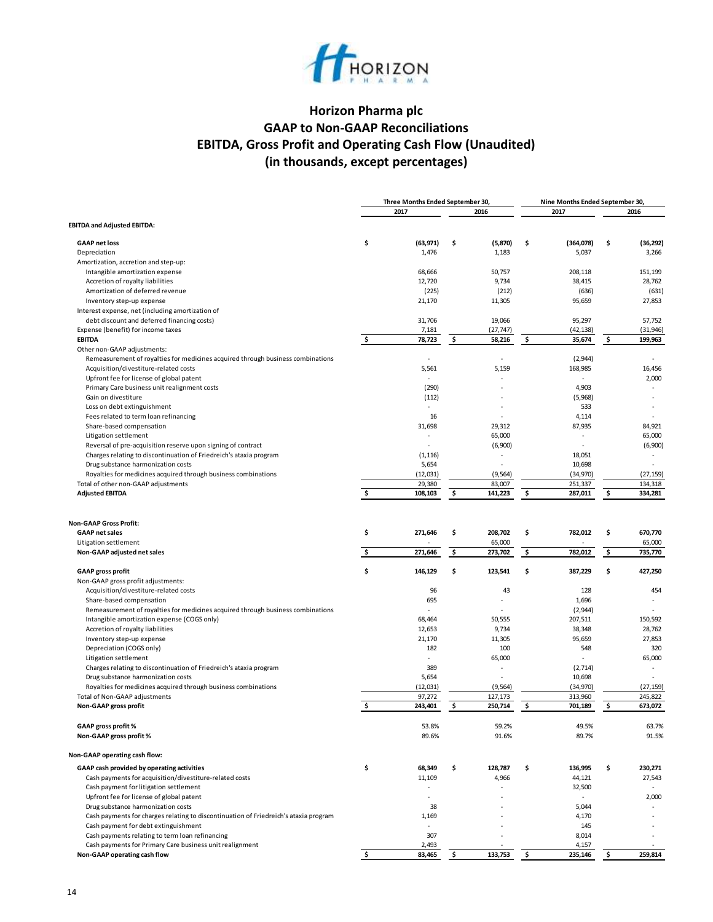

# **Horizon Pharma plc GAAP to Non-GAAP Reconciliations EBITDA, Gross Profit and Operating Cash Flow (Unaudited) (in thousands, except percentages)**

|                                                                                      |          | Three Months Ended September 30, |          |                              |          | Nine Months Ended September 30, |          |                              |
|--------------------------------------------------------------------------------------|----------|----------------------------------|----------|------------------------------|----------|---------------------------------|----------|------------------------------|
|                                                                                      |          | 2017                             |          | 2016                         |          | 2017                            |          | 2016                         |
| <b>EBITDA and Adjusted EBITDA:</b>                                                   |          |                                  |          |                              |          |                                 |          |                              |
| <b>GAAP net loss</b>                                                                 | \$       | (63, 971)                        | \$       | (5, 870)                     | \$       | (364,078)                       | \$       | (36, 292)                    |
| Depreciation                                                                         |          | 1,476                            |          | 1,183                        |          | 5,037                           |          | 3,266                        |
| Amortization, accretion and step-up:                                                 |          |                                  |          |                              |          |                                 |          |                              |
| Intangible amortization expense                                                      |          | 68,666                           |          | 50,757                       |          | 208,118                         |          | 151.199                      |
| Accretion of royalty liabilities                                                     |          | 12,720                           |          | 9,734                        |          | 38,415                          |          | 28,762                       |
| Amortization of deferred revenue                                                     |          | (225)                            |          | (212)                        |          | (636)                           |          | (631)                        |
| Inventory step-up expense                                                            |          | 21,170                           |          | 11,305                       |          | 95,659                          |          | 27,853                       |
| Interest expense, net (including amortization of                                     |          |                                  |          |                              |          |                                 |          |                              |
| debt discount and deferred financing costs)                                          |          | 31,706                           |          | 19,066                       |          | 95,297                          |          | 57,752                       |
| Expense (benefit) for income taxes                                                   |          | 7,181                            |          | (27, 747)                    |          | (42, 138)                       |          | (31, 946)                    |
| <b>EBITDA</b>                                                                        | \$       | 78,723                           | \$       | 58,216                       | \$       | 35,674                          | \$       | 199,963                      |
| Other non-GAAP adjustments:                                                          |          |                                  |          |                              |          |                                 |          |                              |
| Remeasurement of royalties for medicines acquired through business combinations      |          | $\sim$                           |          |                              |          | (2, 944)                        |          |                              |
| Acquisition/divestiture-related costs                                                |          | 5,561                            |          | 5,159                        |          | 168,985                         |          | 16,456                       |
| Upfront fee for license of global patent                                             |          |                                  |          |                              |          |                                 |          | 2,000                        |
| Primary Care business unit realignment costs                                         |          | (290)                            |          |                              |          | 4,903                           |          |                              |
| Gain on divestiture                                                                  |          | (112)                            |          |                              |          | (5,968)                         |          |                              |
| Loss on debt extinguishment                                                          |          |                                  |          |                              |          | 533                             |          |                              |
| Fees related to term loan refinancing                                                |          | 16                               |          |                              |          | 4,114                           |          |                              |
| Share-based compensation                                                             |          | 31,698                           |          | 29,312                       |          | 87,935                          |          | 84,921                       |
| Litigation settlement                                                                |          | ÷,                               |          | 65,000                       |          |                                 |          | 65,000                       |
| Reversal of pre-acquisition reserve upon signing of contract                         |          | $\sim$                           |          | (6,900)                      |          | ä,                              |          | (6,900)                      |
| Charges relating to discontinuation of Friedreich's ataxia program                   |          | (1, 116)                         |          |                              |          | 18,051                          |          |                              |
| Drug substance harmonization costs                                                   |          | 5,654                            |          |                              |          | 10,698                          |          |                              |
| Royalties for medicines acquired through business combinations                       |          | (12, 031)                        |          | (9, 564)                     |          | (34,970)                        |          | (27, 159)                    |
| Total of other non-GAAP adjustments                                                  |          | 29,380                           |          | 83,007                       |          | 251,337                         |          | 134,318                      |
| <b>Adjusted EBITDA</b>                                                               | \$       | 108,103                          | \$       | 141,223                      | \$       | 287,011                         | \$       | 334,281                      |
| <b>GAAP net sales</b><br>Litigation settlement<br>Non-GAAP adjusted net sales        | \$<br>\$ | 271,646<br>271,646               | \$<br>\$ | 208,702<br>65,000<br>273,702 | \$<br>\$ | 782,012<br>782,012              | \$<br>\$ | 670,770<br>65,000<br>735,770 |
|                                                                                      |          |                                  |          |                              |          |                                 |          |                              |
| <b>GAAP gross profit</b><br>Non-GAAP gross profit adjustments:                       | \$       | 146,129                          | \$       | 123,541                      | \$       | 387,229                         | \$       | 427,250                      |
| Acquisition/divestiture-related costs                                                |          | 96                               |          | 43                           |          | 128                             |          | 454                          |
| Share-based compensation                                                             |          | 695                              |          |                              |          | 1,696                           |          | $\overline{\phantom{a}}$     |
| Remeasurement of royalties for medicines acquired through business combinations      |          |                                  |          |                              |          | (2,944)                         |          |                              |
| Intangible amortization expense (COGS only)                                          |          | 68,464                           |          | 50,555                       |          | 207,511                         |          | 150,592                      |
| Accretion of royalty liabilities                                                     |          | 12,653                           |          | 9,734                        |          | 38,348                          |          | 28,762                       |
| Inventory step-up expense                                                            |          | 21,170                           |          | 11,305                       |          | 95,659                          |          | 27,853                       |
| Depreciation (COGS only)                                                             |          | 182                              |          | 100                          |          | 548                             |          | 320                          |
| Litigation settlement                                                                |          |                                  |          | 65,000                       |          |                                 |          | 65,000                       |
| Charges relating to discontinuation of Friedreich's ataxia program                   |          | 389                              |          |                              |          | (2,714)                         |          |                              |
| Drug substance harmonization costs                                                   |          | 5,654                            |          |                              |          | 10,698                          |          |                              |
| Royalties for medicines acquired through business combinations                       |          | (12, 031)                        |          | (9, 564)                     |          | (34,970)                        |          | (27, 159)                    |
| Total of Non-GAAP adjustments                                                        |          | 97,272                           |          | 127,173                      |          | 313,960                         |          | 245,822                      |
| Non-GAAP gross profit                                                                | \$       | 243,401                          | \$       | 250,714                      | \$       | 701,189                         | \$       | 673,072                      |
| GAAP gross profit %                                                                  |          | 53.8%                            |          | 59.2%                        |          | 49.5%                           |          | 63.7%                        |
| Non-GAAP gross profit %                                                              |          | 89.6%                            |          | 91.6%                        |          | 89.7%                           |          | 91.5%                        |
| Non-GAAP operating cash flow:                                                        |          |                                  |          |                              |          |                                 |          |                              |
| GAAP cash provided by operating activities                                           | \$       | 68,349                           | \$       | 128,787                      | \$       | 136,995                         | \$       | 230,271                      |
| Cash payments for acquisition/divestiture-related costs                              |          | 11,109                           |          | 4,966                        |          | 44,121                          |          | 27,543                       |
| Cash payment for litigation settlement                                               |          | ٠                                |          |                              |          | 32,500                          |          |                              |
| Upfront fee for license of global patent                                             |          | ٠                                |          |                              |          |                                 |          | 2,000                        |
| Drug substance harmonization costs                                                   |          | 38                               |          |                              |          | 5,044                           |          |                              |
| Cash payments for charges relating to discontinuation of Friedreich's ataxia program |          | 1,169                            |          |                              |          | 4,170                           |          |                              |
| Cash payment for debt extinguishment                                                 |          |                                  |          |                              |          | 145                             |          |                              |
| Cash payments relating to term loan refinancing                                      |          | 307                              |          |                              |          | 8,014                           |          |                              |
| Cash payments for Primary Care business unit realignment                             |          | 2,493                            |          |                              |          | 4,157                           |          |                              |
| Non-GAAP operating cash flow                                                         | \$       | 83,465                           | \$       | 133,753                      | \$       | 235,146                         | \$       | 259,814                      |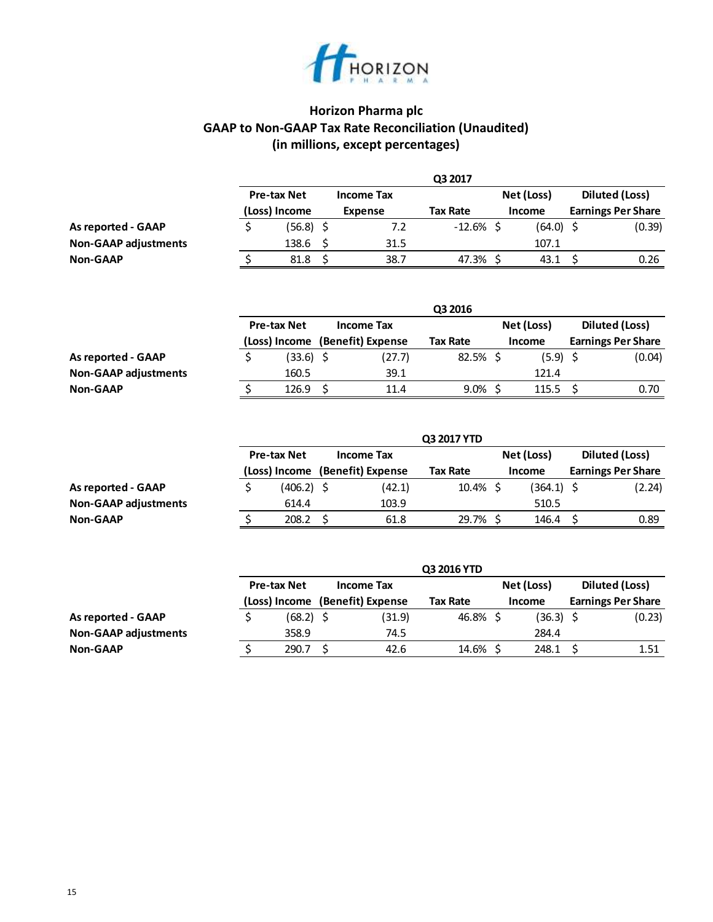

# **Horizon Pharma plc GAAP to Non-GAAP Tax Rate Reconciliation (Unaudited) (in millions, except percentages)**

|                             |                    |                   | Q3 2017      |               |                           |
|-----------------------------|--------------------|-------------------|--------------|---------------|---------------------------|
|                             | <b>Pre-tax Net</b> | <b>Income Tax</b> |              | Net (Loss)    | Diluted (Loss)            |
|                             | (Loss) Income      | Expense           | Tax Rate     | <b>Income</b> | <b>Earnings Per Share</b> |
| <b>As reported - GAAP</b>   | (56.8)             | 7.2               | $-12.6\%$ \$ | $(64.0)$ \$   | (0.39)                    |
| <b>Non-GAAP adjustments</b> | 138.6              | 31.5              |              | 107.1         |                           |
| <b>Non-GAAP</b>             | 81.8               | 38.7              | 47.3% S      | 43.1          | 0.26                      |

|                             |                    |                   | Q3 2016     |            |                           |
|-----------------------------|--------------------|-------------------|-------------|------------|---------------------------|
|                             | <b>Pre-tax Net</b> | <b>Income Tax</b> |             | Net (Loss) | Diluted (Loss)            |
|                             | (Loss) Income      | (Benefit) Expense | Tax Rate    | Income     | <b>Earnings Per Share</b> |
| As reported - GAAP          | (33.6)             | (27.7)            | $82.5\%$ \$ | $(5.9)$ \$ | (0.04)                    |
| <b>Non-GAAP adjustments</b> | 160.5              | 39.1              |             | 121.4      |                           |
| <b>Non-GAAP</b>             | 126.9              | 11.4              | 9.0%        | 115.5      | 0.70                      |

|                             |                    |                                 | Q3 2017 YTD     |            |                           |
|-----------------------------|--------------------|---------------------------------|-----------------|------------|---------------------------|
|                             | <b>Pre-tax Net</b> | <b>Income Tax</b>               |                 | Net (Loss) | Diluted (Loss)            |
|                             |                    | (Loss) Income (Benefit) Expense | <b>Tax Rate</b> | Income     | <b>Earnings Per Share</b> |
| As reported - GAAP          | $(406.2)$ \$       | (42.1)                          | $10.4\%$ \$     | (364.1) \$ | (2.24)                    |
| <b>Non-GAAP adjustments</b> | 614.4              | 103.9                           |                 | 510.5      |                           |
| <b>Non-GAAP</b>             | 208.2              | 61.8                            | 29.7% \$        | 146.4      | 0.89                      |

|                             |                    |                   | Q3 2016 YTD |               |                           |
|-----------------------------|--------------------|-------------------|-------------|---------------|---------------------------|
|                             | <b>Pre-tax Net</b> | <b>Income Tax</b> |             | Net (Loss)    | Diluted (Loss)            |
|                             | (Loss) Income      | (Benefit) Expense | Tax Rate    | <b>Income</b> | <b>Earnings Per Share</b> |
| As reported - GAAP          | (68.2) \$          | (31.9)            | 46.8%\$     | $(36.3)$ \$   | (0.23)                    |
| <b>Non-GAAP adjustments</b> | 358.9              | 74.5              |             | 284.4         |                           |
| <b>Non-GAAP</b>             | 290.7              | 42.6              | 14.6% \$    | 248.1         | 1.51                      |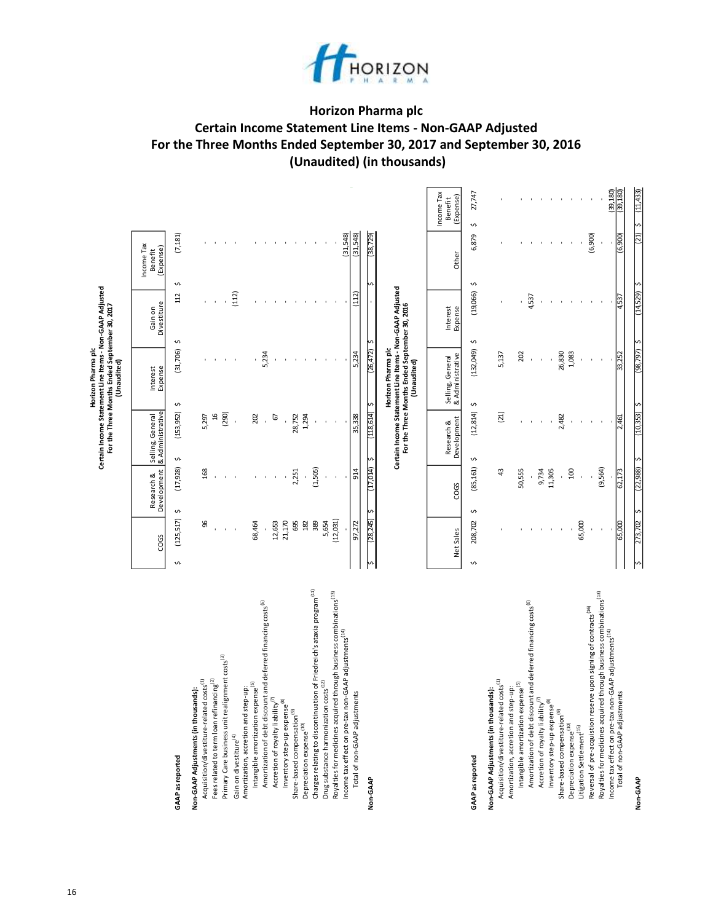

# **Horizon Pharma plc Certain Income Statement Line Items - Non-GAAP Adjusted For the Three Months Ended September 30, 2017 and September 30, 2016 (Unaudited) (in thousands)**

 $\omega_{\rm c}$ 

|                                                                                                                                                     |                 |                           |                                      | Certain Income Statement Line Items - Non-GAAP Adjusted<br>For the Three Months Ended September 30, 2017<br>Horizon Pharma plc<br>(Unaudited) |                        |                                    |                                    |
|-----------------------------------------------------------------------------------------------------------------------------------------------------|-----------------|---------------------------|--------------------------------------|-----------------------------------------------------------------------------------------------------------------------------------------------|------------------------|------------------------------------|------------------------------------|
|                                                                                                                                                     | COGS            | Development<br>Research & | & Administrative<br>Selling, General | Expense<br>Interest                                                                                                                           | Divestiture<br>Gain on | Income Tax<br>(Expense)<br>Benefit |                                    |
| <b>GAAP</b> as reported                                                                                                                             | (125, 517)<br>S | (17,928)<br>Ş             | (153, 952)<br>Ş                      | (31, 706)<br>Ş                                                                                                                                | 112<br>Ş               | (7, 181)<br>Ş                      |                                    |
| Acquisition/divestiture-related costs <sup>(1)</sup><br>Non-GAAP Adjustments (in thousands):                                                        | க               | 168                       | 5,297                                |                                                                                                                                               |                        |                                    |                                    |
| Fees related to term loan refinancing <sup>(2)</sup>                                                                                                |                 |                           | $\frac{16}{2}$                       |                                                                                                                                               |                        |                                    |                                    |
| Primary Care business unit realignment costs <sup>(3)</sup>                                                                                         |                 |                           | (290)                                |                                                                                                                                               | (112)                  |                                    |                                    |
| Amortization, accretion and step-up:<br>Gain on divestiture <sup>(4)</sup>                                                                          |                 |                           |                                      |                                                                                                                                               |                        |                                    |                                    |
| Amortization of debt discount and deferred financing costs <sup>(6)</sup><br>Intangible amortization expense <sup>(5)</sup>                         | 68,464          |                           | 202                                  | 5,234                                                                                                                                         |                        |                                    |                                    |
| Accretion of royalty liability <sup>(7)</sup>                                                                                                       | 12,653          |                           | 67                                   |                                                                                                                                               |                        |                                    |                                    |
| $\circledast$<br>Inventory step-up expense                                                                                                          | 21,170          |                           |                                      |                                                                                                                                               |                        |                                    |                                    |
| Share-based compensation <sup>(9)</sup>                                                                                                             | 695             | 2,251                     | 28,752                               |                                                                                                                                               |                        |                                    |                                    |
| Charges relating to discontinuation of Friedreich's ataxia program <sup>(11)</sup><br>Depreciation expense <sup>(10)</sup>                          | 182<br>389      | (1,505)                   | 1,294                                |                                                                                                                                               |                        |                                    |                                    |
| Drug substance harmonization costs <sup>(12)</sup>                                                                                                  | 5,654           |                           |                                      |                                                                                                                                               |                        |                                    |                                    |
| Royalties for medicines acquired through business combinations <sup>(13)</sup>                                                                      | (12, 031)       |                           |                                      |                                                                                                                                               |                        |                                    |                                    |
| Income tax effect on pre-tax non-GAAP adjustments <sup>(14)</sup><br>Total of non-GAAP adjustments                                                  | 97,272          | 914                       | 35,338                               | 5,234                                                                                                                                         | (112)                  | (31.548)<br>(31,548)               |                                    |
|                                                                                                                                                     |                 |                           |                                      |                                                                                                                                               |                        |                                    |                                    |
| Non-GAAP                                                                                                                                            | (28,245)        | (17,014)                  | (118,614)                            | (26, 472)<br>ċ.                                                                                                                               |                        | 729<br>(38)                        |                                    |
|                                                                                                                                                     |                 |                           |                                      | Certain Income Statement Line Items - Non-GAAP Adjusted<br>For the Three Months Ended September 30, 2016<br>Horizon Pharma plc<br>(Unaudited) |                        |                                    |                                    |
|                                                                                                                                                     | Net Sales       | COGS                      | Development<br>Research &            | & Administrative<br>Selling, General                                                                                                          | Interest<br>Expense    | Other                              | Income Tax<br>(Expense)<br>Benefit |
| <b>GAAP</b> as reported                                                                                                                             | 208,702<br>S    | (85, 161)<br>Ş            | (12, 814)<br>Ş                       | (132,049)<br>Ş                                                                                                                                | (19,066)<br>Ş          | 6,879<br>Ş                         | 27,747<br>Ş                        |
| Acquisition/divestiture-related costs <sup>(1)</sup><br>Non-GAAP Adjustments (in thousands):                                                        |                 | $\ddot{a}$                | (21)                                 | 5,137                                                                                                                                         |                        |                                    |                                    |
| Intangible amortization expense <sup>(5)</sup><br>Amortization, accretion and step-up:                                                              |                 | 50,555                    |                                      | 202                                                                                                                                           |                        |                                    |                                    |
| Amortization of debt discount and deferred financing costs <sup>(6)</sup>                                                                           |                 |                           |                                      |                                                                                                                                               | 4,537                  |                                    |                                    |
| Accretion of royalty liability <sup>(7)</sup><br>$\mathbf{E}$<br>Inventory step-up expense                                                          |                 | 9,734<br>11,305           |                                      |                                                                                                                                               |                        |                                    |                                    |
| Share-based compensation <sup>(9)</sup>                                                                                                             |                 |                           | 2,482                                | 26,830                                                                                                                                        |                        |                                    |                                    |
| Depreciation expense <sup>(10)</sup><br>Litigation Settlement <sup>(15)</sup>                                                                       | 65,000          | 100                       |                                      | 1,083                                                                                                                                         |                        |                                    |                                    |
| Reversal of pre-acquistion reserve upon signing of contracts <sup>(16)</sup>                                                                        |                 |                           |                                      |                                                                                                                                               |                        | (6, 900)                           |                                    |
| Royalties for medicines acquired through business combinations <sup>(13)</sup><br>Income tax effect on pre-tax non-GAAP adjustments <sup>(14)</sup> |                 | (9,564)                   |                                      |                                                                                                                                               |                        |                                    | (39, 180)                          |
| Total of non-GAAP adjustments                                                                                                                       | 65,000          | 62,173                    | 2,461                                | 33,252                                                                                                                                        | 4,537                  | (6, 900)                           | (39, 180)                          |
| Non-GAAP                                                                                                                                            | 273,702         | (22, 988)                 | (10, 353)                            | 462,86                                                                                                                                        | (14, 529)              | (21)                               | (11, 433)                          |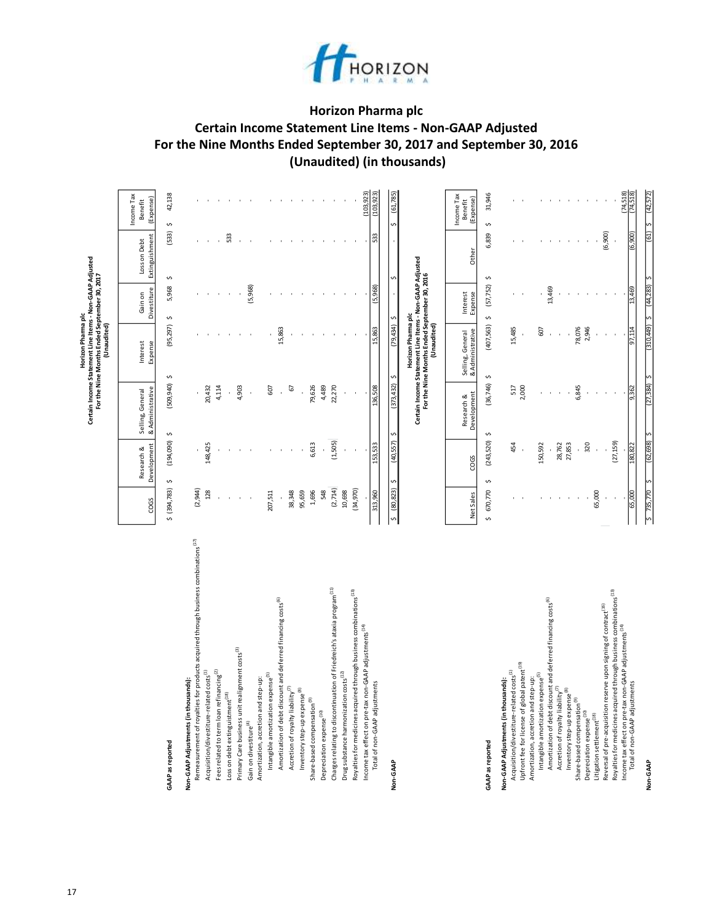

# **Horizon Pharma plc Certain Income Statement Line Items - Non-GAAP Adjusted For the Nine Months Ended September 30, 2017 and September 30, 2016 (Unaudited) (in thousands)**

|                                                                                                                                                                |                |                           |                                      | Certain Income Statement Line Items - Non-GAAP Adjusted<br>For the Nine Months Ended September 30, 2017<br>Horizon Pharma plc<br>(Unaudited) |                        |                                |                                    |
|----------------------------------------------------------------------------------------------------------------------------------------------------------------|----------------|---------------------------|--------------------------------------|----------------------------------------------------------------------------------------------------------------------------------------------|------------------------|--------------------------------|------------------------------------|
|                                                                                                                                                                | COGS           | Development<br>Research & | & Administrative<br>Selling, General | Interest<br>Expense                                                                                                                          | Divestiture<br>Gain on | Extinguishment<br>Loss on Debt | Income Tax<br>(Expense)<br>Benefit |
| <b>GAAP</b> as reported                                                                                                                                        | \$ (394,783)   | (194, 090)<br>Ş           | (509, 940)<br>$\mathfrak o$          | (95, 297)<br>$\mathfrak o$                                                                                                                   | 5,968<br>$\mathfrak o$ | (533)<br>$\mathfrak{c}$        | 42,138<br>$\mathfrak o$            |
| Non-GAAP Adjustments (in thousands):                                                                                                                           |                |                           |                                      |                                                                                                                                              |                        |                                |                                    |
| Remeasurement of royalties for products acquired through business combinations <sup>(17)</sup>                                                                 | (2,944)        |                           |                                      |                                                                                                                                              |                        |                                |                                    |
| Fees related to term loan refinancing <sup>(2)</sup><br>Acquisition/divestiture-related costs <sup>(1)</sup>                                                   | 128            | 148,425                   | 4,114<br>20,432                      |                                                                                                                                              |                        |                                |                                    |
| Loss on debt extinguistment <sup>(18)</sup>                                                                                                                    |                |                           |                                      |                                                                                                                                              |                        | 533                            |                                    |
| Primary Care business unit realignment costs <sup>(3)</sup>                                                                                                    |                |                           | 4,903                                |                                                                                                                                              |                        |                                |                                    |
| Gain on divestiture <sup>(4)</sup>                                                                                                                             |                |                           |                                      |                                                                                                                                              | (5,968)                |                                |                                    |
| Intangible amortization expense <sup>(5)</sup><br>Amortization, accretion and step-up:                                                                         | 207,511        |                           | 607                                  |                                                                                                                                              |                        |                                |                                    |
| Amortization of debt discount and deferred financing costs <sup>(6)</sup>                                                                                      | ï              |                           |                                      | 15,863                                                                                                                                       |                        |                                |                                    |
| Accretion of royalty liability <sup>(7)</sup>                                                                                                                  | 38,348         |                           | 67                                   |                                                                                                                                              |                        |                                |                                    |
| Inventory step-up expense <sup>(8)</sup>                                                                                                                       | 95,659         |                           |                                      |                                                                                                                                              |                        |                                |                                    |
| Share-based compensation <sup>(9)</sup>                                                                                                                        | 1,696          | 6,613                     | 79,626                               |                                                                                                                                              |                        |                                |                                    |
| Depreciation expense <sup>(10)</sup>                                                                                                                           | 548            |                           | 4,489                                |                                                                                                                                              |                        |                                |                                    |
| Charges relating to discontinuation of Friedreich's ataxia program <sup>(1,1)</sup>                                                                            | (2,714)        | (1, 505)                  | 22,270                               |                                                                                                                                              |                        |                                |                                    |
| Drug substance harmonization costs <sup>(12)</sup>                                                                                                             | 10,698         |                           |                                      |                                                                                                                                              |                        |                                |                                    |
| Royalties for medicines acquired through business combinations <sup>(13)</sup>                                                                                 | (34,970)       |                           |                                      |                                                                                                                                              |                        |                                |                                    |
| Income tax effect on pre-tax non-GAAP adjustments <sup>(14)</sup><br>Total of non-GAAP adjustments                                                             | 313,960        | 153,533                   | 136,508                              | 15,863                                                                                                                                       | 968                    | ä                              | (103, 923)<br>103,923              |
|                                                                                                                                                                |                |                           |                                      |                                                                                                                                              |                        |                                |                                    |
| Non-GAAP                                                                                                                                                       | (80, 823)<br>S | (40, 557)                 | (373, 432)                           | (79, 434)                                                                                                                                    |                        |                                | (61, 785)                          |
|                                                                                                                                                                |                |                           |                                      | Certain Income Statement Line Items - Non-GAAP Adjusted<br>For the Nine Months Ended September 30, 2016<br>(Unaudited)<br>Horizon Pharma plc |                        |                                |                                    |
|                                                                                                                                                                | Net Sales      | COGS                      | Development<br>Research &            | Selling, General<br>& Administrative                                                                                                         | Interest<br>Expense    | Other                          | Income Tax<br>(Expense)<br>Benefit |
| GAAP as reported                                                                                                                                               | 670,770<br>s   | (243, 520)<br>S           | (36,746)<br>S                        | (407, 563)<br>S                                                                                                                              | (57, 752)<br>S         | 6,839<br>S                     | 31,946<br>S                        |
| Non-GAAP Adjustments (in thousands):                                                                                                                           |                |                           |                                      |                                                                                                                                              |                        |                                |                                    |
| Upfront fee for license of global patent <sup>(19)</sup><br>Acquisition/divestiture-related costs <sup>(1)</sup>                                               |                | 454                       | 2,000<br>517                         | 15,485                                                                                                                                       |                        |                                |                                    |
| Amortization, accretion and step-up:                                                                                                                           |                |                           |                                      |                                                                                                                                              |                        |                                |                                    |
| Amortization of debt discount and deferred financing costs <sup>(6)</sup><br>Intangible amortization expense <sup>(5)</sup>                                    |                | 150,592                   |                                      | 607                                                                                                                                          | 13,469                 |                                |                                    |
| Accretion of royalty liability <sup>(7)</sup>                                                                                                                  |                | 28,762                    |                                      |                                                                                                                                              |                        |                                |                                    |
| Inventory step-up expense <sup>(8)</sup>                                                                                                                       |                | 27,853                    |                                      |                                                                                                                                              |                        |                                |                                    |
| Share-based compensation <sup>(9)</sup><br>Depreciation expense <sup>(10)</sup>                                                                                |                | 320                       | 6,845                                | 78,076<br>2,946                                                                                                                              |                        |                                |                                    |
| Litigation settlement <sup>(18)</sup>                                                                                                                          | 65,000         |                           |                                      |                                                                                                                                              |                        |                                |                                    |
| Royalties for medicines acquired through business combinations <sup>(13)</sup><br>Reversal of pre-acquisition reserve upon signing of contract <sup>(16)</sup> |                | (27, 159)                 |                                      |                                                                                                                                              |                        | (6,900)                        |                                    |
| Income tax effect on pre-tax non-GAAP adjustments <sup>(14)</sup><br>Total of non-GAAP adjustments                                                             | 65,000         | 80,822                    |                                      | 97,114                                                                                                                                       | 13,469                 | (6, 900)                       | (74, 518)<br>(74,518               |
|                                                                                                                                                                |                |                           |                                      |                                                                                                                                              |                        |                                |                                    |
| Non-GAAP                                                                                                                                                       | \$735,770      | (62, 698)                 | (27.384)                             | (5tr/0TE)                                                                                                                                    | (44, 283)              | (19)                           | (42,572                            |

17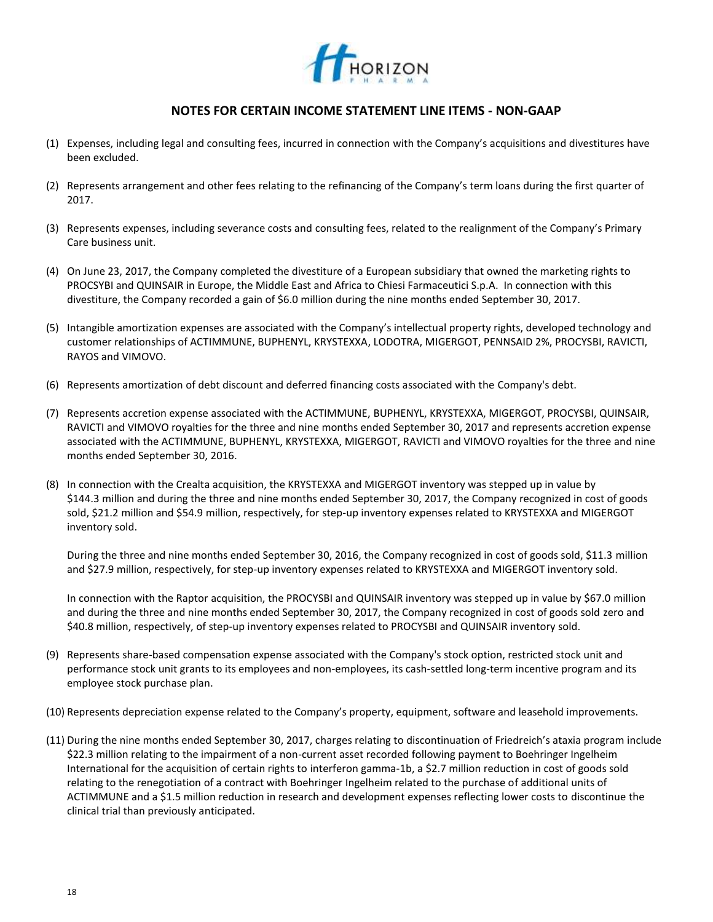

## **NOTES FOR CERTAIN INCOME STATEMENT LINE ITEMS - NON-GAAP**

- (1) Expenses, including legal and consulting fees, incurred in connection with the Company's acquisitions and divestitures have been excluded.
- (2) Represents arrangement and other fees relating to the refinancing of the Company's term loans during the first quarter of 2017.
- (3) Represents expenses, including severance costs and consulting fees, related to the realignment of the Company's Primary Care business unit.
- (4) On June 23, 2017, the Company completed the divestiture of a European subsidiary that owned the marketing rights to PROCSYBI and QUINSAIR in Europe, the Middle East and Africa to Chiesi Farmaceutici S.p.A. In connection with this divestiture, the Company recorded a gain of \$6.0 million during the nine months ended September 30, 2017.
- (5) Intangible amortization expenses are associated with the Company's intellectual property rights, developed technology and customer relationships of ACTIMMUNE, BUPHENYL, KRYSTEXXA, LODOTRA, MIGERGOT, PENNSAID 2%, PROCYSBI, RAVICTI, RAYOS and VIMOVO.
- (6) Represents amortization of debt discount and deferred financing costs associated with the Company's debt.
- (7) Represents accretion expense associated with the ACTIMMUNE, BUPHENYL, KRYSTEXXA, MIGERGOT, PROCYSBI, QUINSAIR, RAVICTI and VIMOVO royalties for the three and nine months ended September 30, 2017 and represents accretion expense associated with the ACTIMMUNE, BUPHENYL, KRYSTEXXA, MIGERGOT, RAVICTI and VIMOVO royalties for the three and nine months ended September 30, 2016.
- (8) In connection with the Crealta acquisition, the KRYSTEXXA and MIGERGOT inventory was stepped up in value by \$144.3 million and during the three and nine months ended September 30, 2017, the Company recognized in cost of goods sold, \$21.2 million and \$54.9 million, respectively, for step-up inventory expenses related to KRYSTEXXA and MIGERGOT inventory sold.

During the three and nine months ended September 30, 2016, the Company recognized in cost of goods sold, \$11.3 million and \$27.9 million, respectively, for step-up inventory expenses related to KRYSTEXXA and MIGERGOT inventory sold.

In connection with the Raptor acquisition, the PROCYSBI and QUINSAIR inventory was stepped up in value by \$67.0 million and during the three and nine months ended September 30, 2017, the Company recognized in cost of goods sold zero and \$40.8 million, respectively, of step-up inventory expenses related to PROCYSBI and QUINSAIR inventory sold.

- (9) Represents share-based compensation expense associated with the Company's stock option, restricted stock unit and performance stock unit grants to its employees and non-employees, its cash-settled long-term incentive program and its employee stock purchase plan.
- (10) Represents depreciation expense related to the Company's property, equipment, software and leasehold improvements.
- (11) During the nine months ended September 30, 2017, charges relating to discontinuation of Friedreich's ataxia program include \$22.3 million relating to the impairment of a non-current asset recorded following payment to Boehringer Ingelheim International for the acquisition of certain rights to interferon gamma-1b, a \$2.7 million reduction in cost of goods sold relating to the renegotiation of a contract with Boehringer Ingelheim related to the purchase of additional units of ACTIMMUNE and a \$1.5 million reduction in research and development expenses reflecting lower costs to discontinue the clinical trial than previously anticipated.